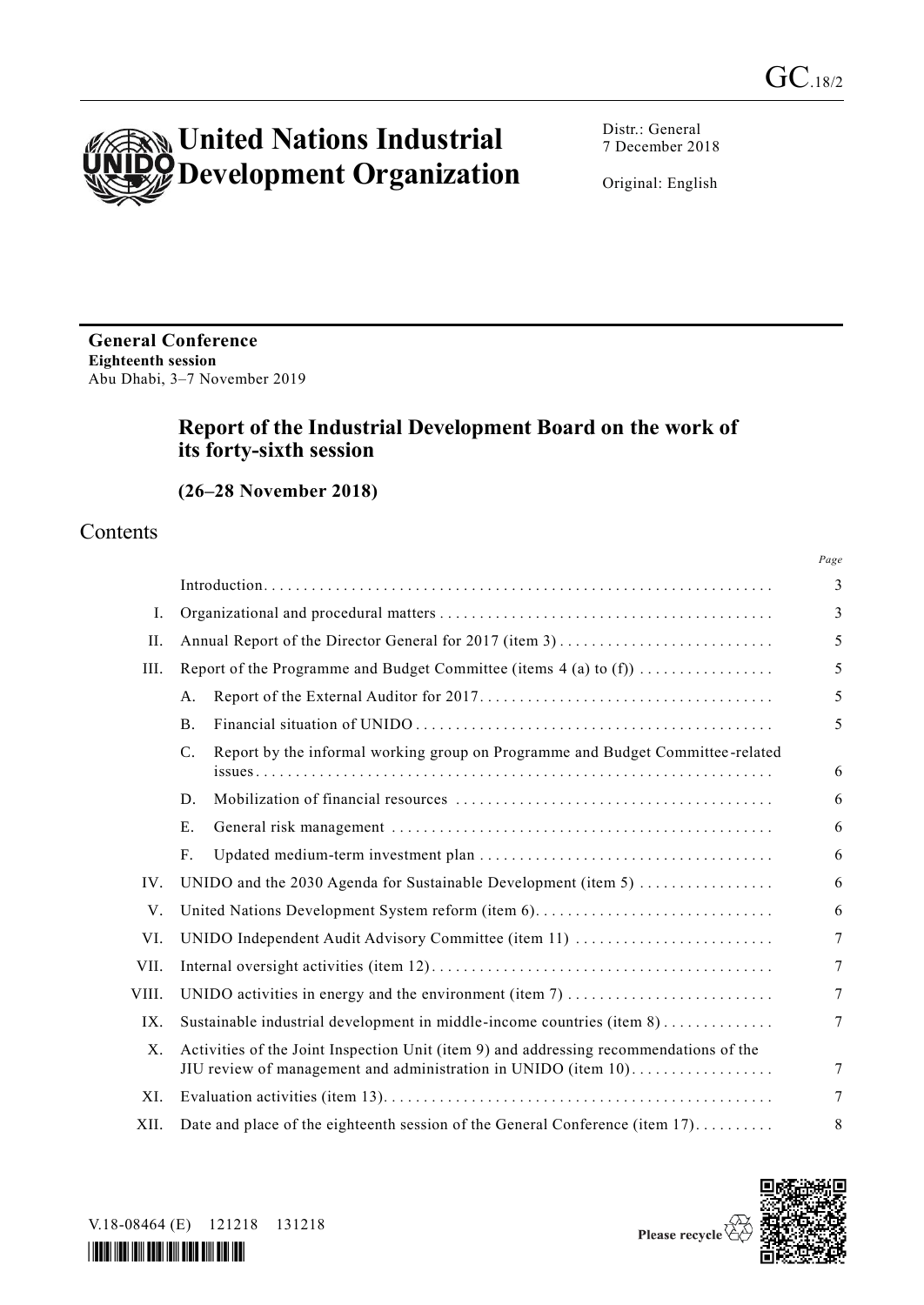

Distr.: General 7 December 2018

Original: English

**General Conference Eighteenth session** Abu Dhabi, 3–7 November 2019

# **Report of the Industrial Development Board on the work of its forty-sixth session**

**(26–28 November 2018)**

# Contents

|       |                                                                                                                                                          | Page |  |  |  |
|-------|----------------------------------------------------------------------------------------------------------------------------------------------------------|------|--|--|--|
|       |                                                                                                                                                          | 3    |  |  |  |
| Ι.    |                                                                                                                                                          | 3    |  |  |  |
| II.   |                                                                                                                                                          | 5    |  |  |  |
| III.  | Report of the Programme and Budget Committee (items $4$ (a) to (f))                                                                                      | 5    |  |  |  |
|       | A.                                                                                                                                                       | 5    |  |  |  |
|       | <b>B.</b>                                                                                                                                                | 5    |  |  |  |
|       | Report by the informal working group on Programme and Budget Committee-related<br>$C_{\cdot}$                                                            | 6    |  |  |  |
|       | D.                                                                                                                                                       | 6    |  |  |  |
|       | E.                                                                                                                                                       | 6    |  |  |  |
|       | F.                                                                                                                                                       | 6    |  |  |  |
| IV.   | UNIDO and the 2030 Agenda for Sustainable Development (item 5)                                                                                           | 6    |  |  |  |
| V.    | United Nations Development System reform (item 6)                                                                                                        |      |  |  |  |
| VI.   | UNIDO Independent Audit Advisory Committee (item 11)                                                                                                     |      |  |  |  |
| VII.  |                                                                                                                                                          |      |  |  |  |
| VIII. |                                                                                                                                                          |      |  |  |  |
| IX.   | Sustainable industrial development in middle-income countries (item 8)                                                                                   |      |  |  |  |
| Χ.    | Activities of the Joint Inspection Unit (item 9) and addressing recommendations of the<br>JIU review of management and administration in UNIDO (item 10) | 7    |  |  |  |
| XI.   |                                                                                                                                                          | 7    |  |  |  |
| XII.  | Date and place of the eighteenth session of the General Conference (item 17)                                                                             | 8    |  |  |  |



V.18-08464 (E) 121218 131218

*\*1808464\**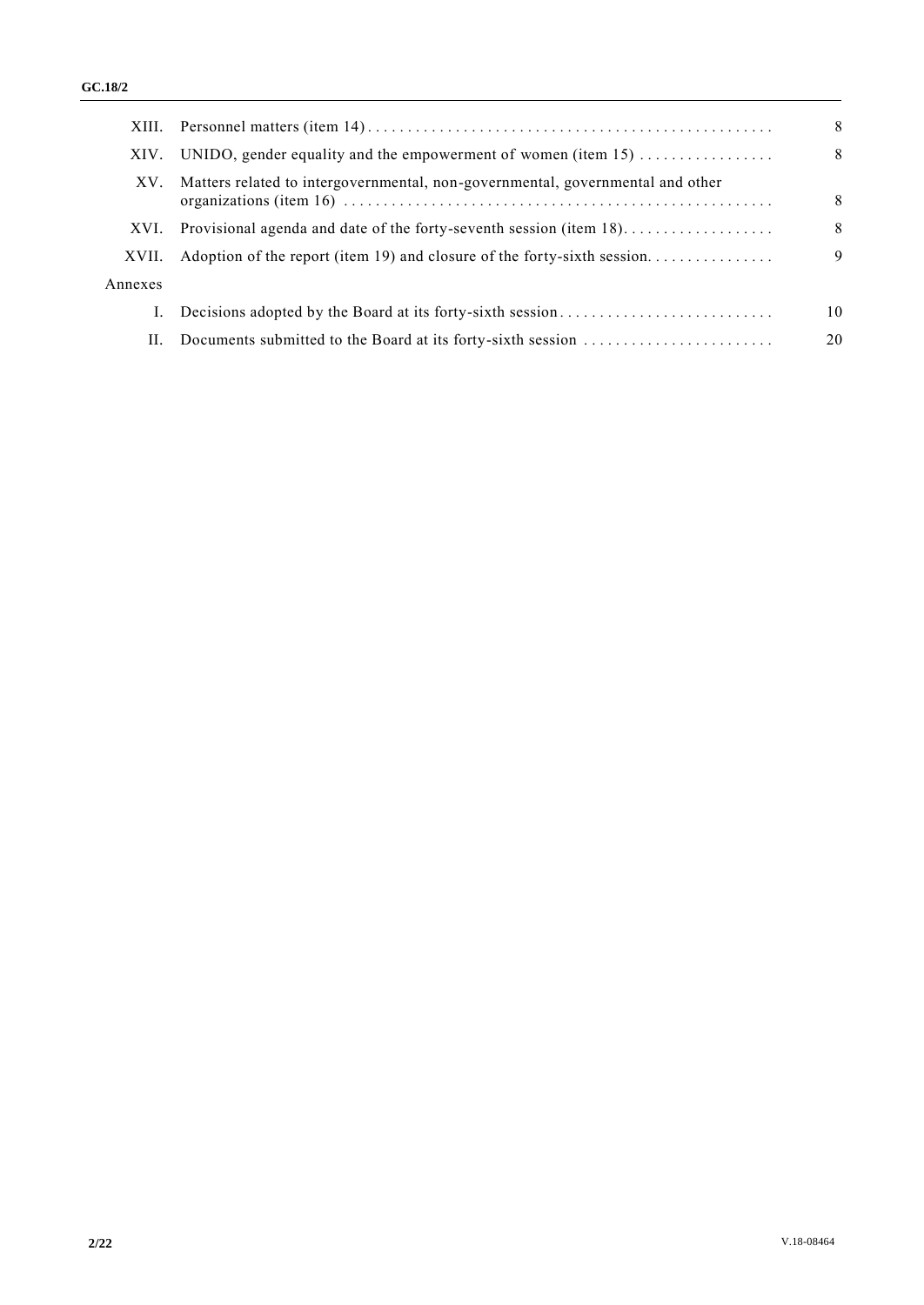|         |                                                                                | 8  |
|---------|--------------------------------------------------------------------------------|----|
| XIV.    | UNIDO, gender equality and the empowerment of women (item $15)$                | 8  |
| XV.     | Matters related to intergovernmental, non-governmental, governmental and other | 8  |
| XVI.    | Provisional agenda and date of the forty-seventh session (item 18)             | 8  |
| XVII.   | Adoption of the report (item 19) and closure of the forty-sixth session        | 9  |
| Annexes |                                                                                |    |
| I.      |                                                                                | 10 |
| П.      | Documents submitted to the Board at its forty-sixth session                    | 20 |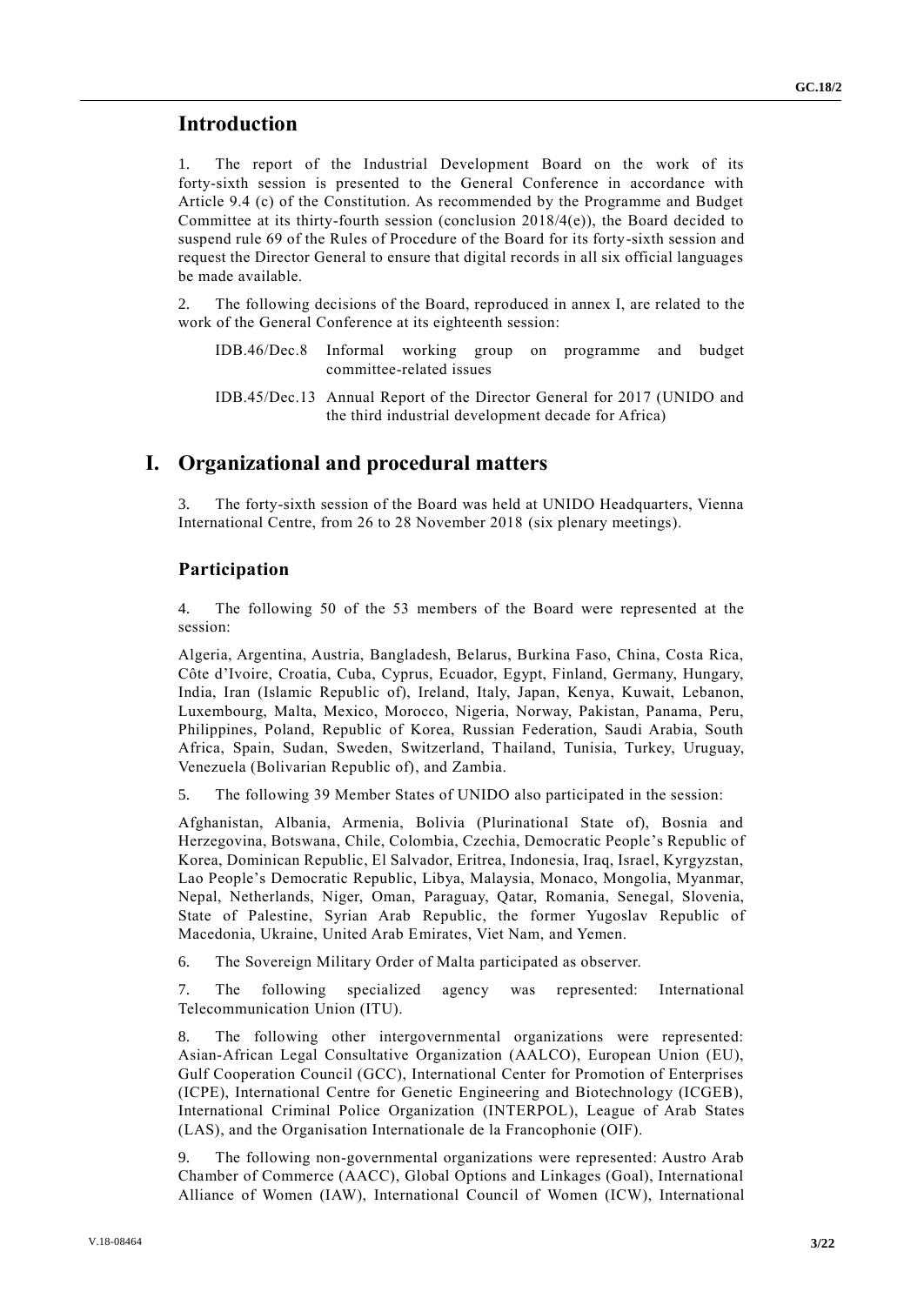# **Introduction**

1. The report of the Industrial Development Board on the work of its forty-sixth session is presented to the General Conference in accordance with Article 9.4 (c) of the Constitution. As recommended by the Programme and Budget Committee at its thirty-fourth session (conclusion  $2018/4(e)$ ), the Board decided to suspend rule 69 of the Rules of Procedure of the Board for its forty-sixth session and request the Director General to ensure that digital records in all six official languages be made available.

The following decisions of the Board, reproduced in annex I, are related to the work of the General Conference at its eighteenth session:

- IDB.46/Dec.8 Informal working group on programme and budget committee-related issues
- IDB.45/Dec.13 Annual Report of the Director General for 2017 (UNIDO and the third industrial development decade for Africa)

# **I. Organizational and procedural matters**

3. The forty-sixth session of the Board was held at UNIDO Headquarters, Vienna International Centre, from 26 to 28 November 2018 (six plenary meetings).

## **Participation**

4. The following 50 of the 53 members of the Board were represented at the session:

Algeria, Argentina, Austria, Bangladesh, Belarus, Burkina Faso, China, Costa Rica, Côte d'Ivoire, Croatia, Cuba, Cyprus, Ecuador, Egypt, Finland, Germany, Hungary, India, Iran (Islamic Republic of), Ireland, Italy, Japan, Kenya, Kuwait, Lebanon, Luxembourg, Malta, Mexico, Morocco, Nigeria, Norway, Pakistan, Panama, Peru, Philippines, Poland, Republic of Korea, Russian Federation, Saudi Arabia, South Africa, Spain, Sudan, Sweden, Switzerland, Thailand, Tunisia, Turkey, Uruguay, Venezuela (Bolivarian Republic of), and Zambia.

5. The following 39 Member States of UNIDO also participated in the session:

Afghanistan, Albania, Armenia, Bolivia (Plurinational State of), Bosnia and Herzegovina, Botswana, Chile, Colombia, Czechia, Democratic People's Republic of Korea, Dominican Republic, El Salvador, Eritrea, Indonesia, Iraq, Israel, Kyrgyzstan, Lao People's Democratic Republic, Libya, Malaysia, Monaco, Mongolia, Myanmar, Nepal, Netherlands, Niger, Oman, Paraguay, Qatar, Romania, Senegal, Slovenia, State of Palestine, Syrian Arab Republic, the former Yugoslav Republic of Macedonia, Ukraine, United Arab Emirates, Viet Nam, and Yemen.

6. The Sovereign Military Order of Malta participated as observer.

7. The following specialized agency was represented: International Telecommunication Union (ITU).

8. The following other intergovernmental organizations were represented: Asian-African Legal Consultative Organization (AALCO), European Union (EU), Gulf Cooperation Council (GCC), International Center for Promotion of Enterprises (ICPE), International Centre for Genetic Engineering and Biotechnology (ICGEB), International Criminal Police Organization (INTERPOL), League of Arab States (LAS), and the Organisation Internationale de la Francophonie (OIF).

9. The following non-governmental organizations were represented: Austro Arab Chamber of Commerce (AACC), Global Options and Linkages (Goal), International Alliance of Women (IAW), International Council of Women (ICW), International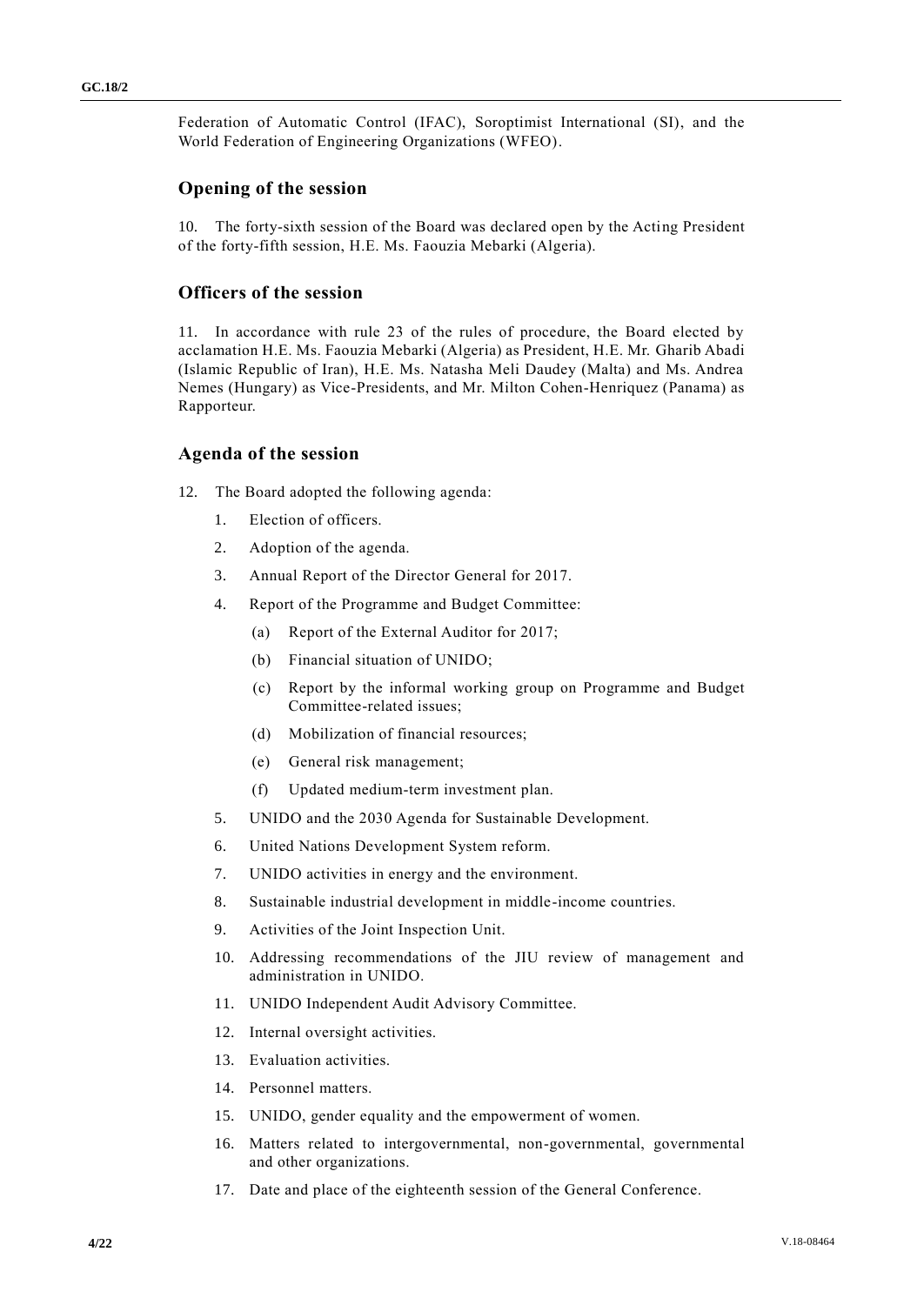Federation of Automatic Control (IFAC), Soroptimist International (SI), and the World Federation of Engineering Organizations (WFEO).

## **Opening of the session**

10. The forty-sixth session of the Board was declared open by the Acting President of the forty-fifth session, H.E. Ms. Faouzia Mebarki (Algeria).

## **Officers of the session**

11. In accordance with rule 23 of the rules of procedure, the Board elected by acclamation H.E. Ms. Faouzia Mebarki (Algeria) as President, H.E. Mr. Gharib Abadi (Islamic Republic of Iran), H.E. Ms. Natasha Meli Daudey (Malta) and Ms. Andrea Nemes (Hungary) as Vice-Presidents, and Mr. Milton Cohen-Henriquez (Panama) as Rapporteur.

## **Agenda of the session**

- 12. The Board adopted the following agenda:
	- 1. Election of officers.
	- 2. Adoption of the agenda.
	- 3. Annual Report of the Director General for 2017.
	- 4. Report of the Programme and Budget Committee:
		- (a) Report of the External Auditor for 2017;
		- (b) Financial situation of UNIDO;
		- (c) Report by the informal working group on Programme and Budget Committee-related issues;
		- (d) Mobilization of financial resources;
		- (e) General risk management;
		- (f) Updated medium-term investment plan.
	- 5. UNIDO and the 2030 Agenda for Sustainable Development.
	- 6. United Nations Development System reform.
	- 7. UNIDO activities in energy and the environment.
	- 8. Sustainable industrial development in middle-income countries.
	- 9. Activities of the Joint Inspection Unit.
	- 10. Addressing recommendations of the JIU review of management and administration in UNIDO.
	- 11. UNIDO Independent Audit Advisory Committee.
	- 12. Internal oversight activities.
	- 13. Evaluation activities.
	- 14. Personnel matters.
	- 15. UNIDO, gender equality and the empowerment of women.
	- 16. Matters related to intergovernmental, non-governmental, governmental and other organizations.
	- 17. Date and place of the eighteenth session of the General Conference.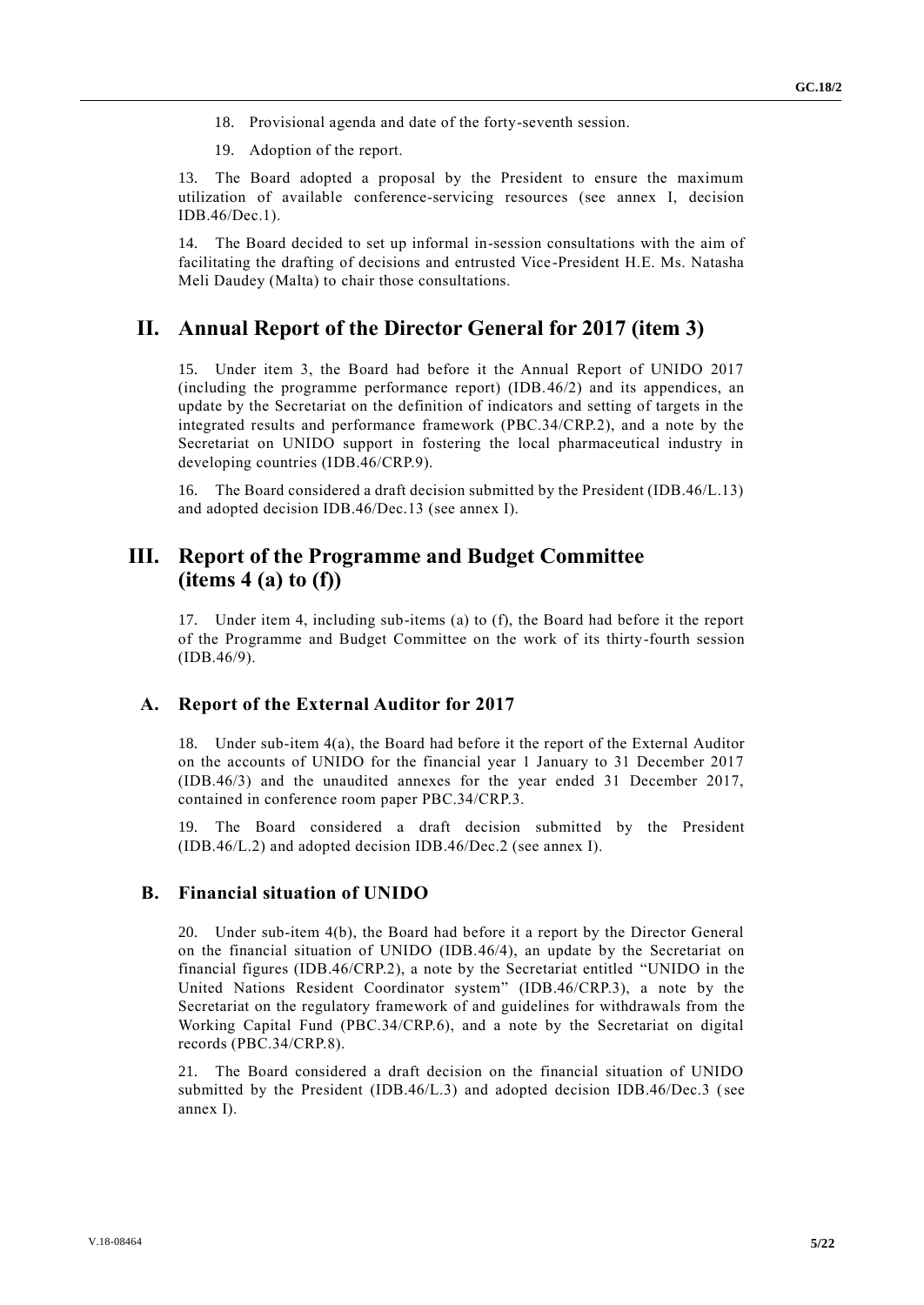18. Provisional agenda and date of the forty-seventh session.

19. Adoption of the report.

13. The Board adopted a proposal by the President to ensure the maximum utilization of available conference-servicing resources (see annex I, decision IDB.46/Dec.1).

14. The Board decided to set up informal in-session consultations with the aim of facilitating the drafting of decisions and entrusted Vice-President H.E. Ms. Natasha Meli Daudey (Malta) to chair those consultations.

# **II. Annual Report of the Director General for 2017 (item 3)**

15. Under item 3, the Board had before it the Annual Report of UNIDO 2017 (including the programme performance report) (IDB.46/2) and its appendices, an update by the Secretariat on the definition of indicators and setting of targets in the integrated results and performance framework (PBC.34/CRP.2), and a note by the Secretariat on UNIDO support in fostering the local pharmaceutical industry in developing countries (IDB.46/CRP.9).

16. The Board considered a draft decision submitted by the President (IDB.46/L.13) and adopted decision IDB.46/Dec.13 (see annex I).

# **III. Report of the Programme and Budget Committee (items 4 (a) to (f))**

17. Under item 4, including sub-items (a) to (f), the Board had before it the report of the Programme and Budget Committee on the work of its thirty-fourth session (IDB.46/9).

## **A. Report of the External Auditor for 2017**

18. Under sub-item 4(a), the Board had before it the report of the External Auditor on the accounts of UNIDO for the financial year 1 January to 31 December 2017 (IDB.46/3) and the unaudited annexes for the year ended 31 December 2017, contained in conference room paper PBC.34/CRP.3.

19. The Board considered a draft decision submitted by the President (IDB.46/L.2) and adopted decision IDB.46/Dec.2 (see annex I).

## **B. Financial situation of UNIDO**

20. Under sub-item 4(b), the Board had before it a report by the Director General on the financial situation of UNIDO (IDB.46/4), an update by the Secretariat on financial figures (IDB.46/CRP.2), a note by the Secretariat entitled "UNIDO in the United Nations Resident Coordinator system" (IDB.46/CRP.3), a note by the Secretariat on the regulatory framework of and guidelines for withdrawals from the Working Capital Fund (PBC.34/CRP.6), and a note by the Secretariat on digital records (PBC.34/CRP.8).

21. The Board considered a draft decision on the financial situation of UNIDO submitted by the President (IDB.46/L.3) and adopted decision IDB.46/Dec.3 (see annex I).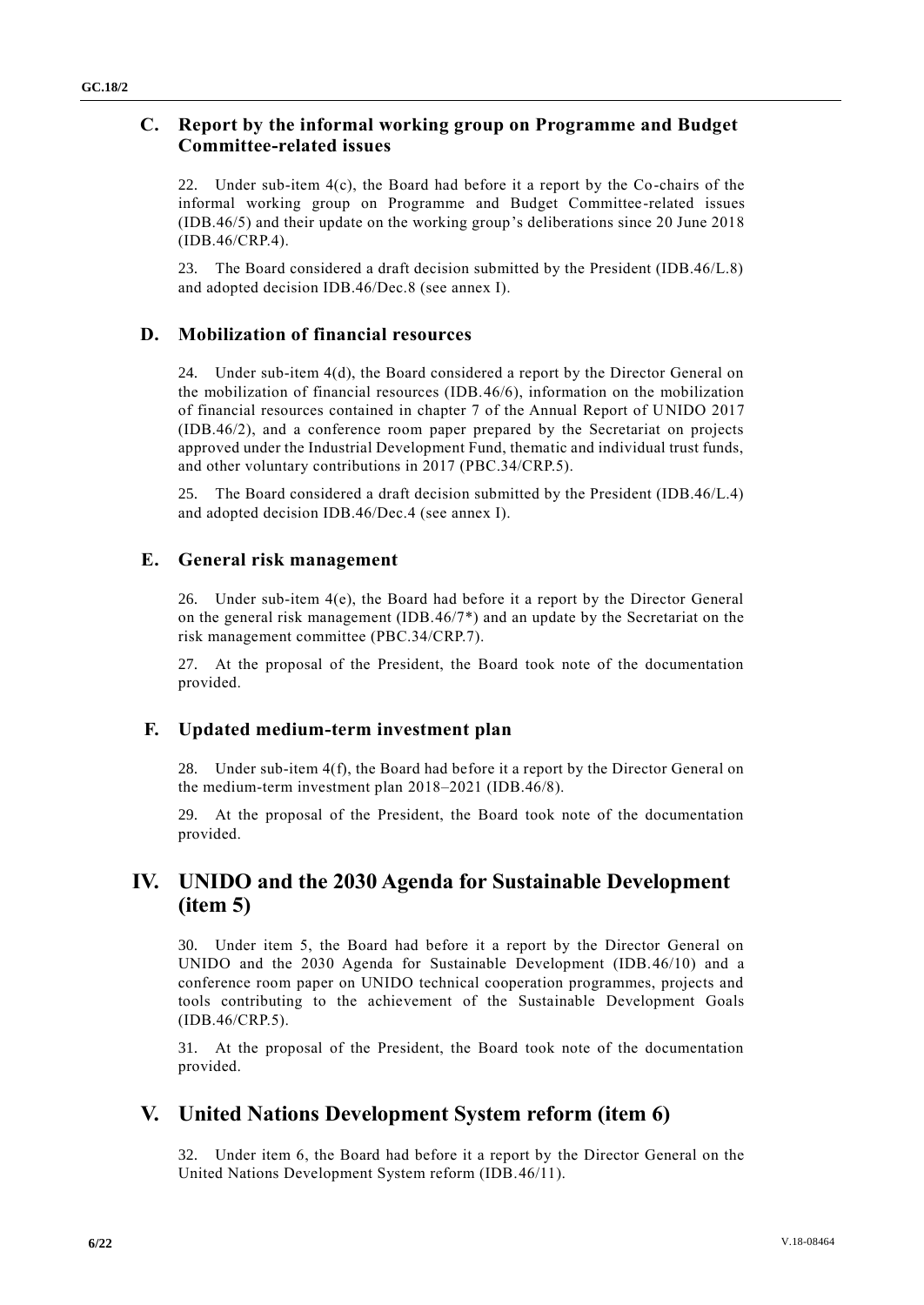# **C. Report by the informal working group on Programme and Budget Committee-related issues**

22. Under sub-item  $4(c)$ , the Board had before it a report by the Co-chairs of the informal working group on Programme and Budget Committee-related issues (IDB.46/5) and their update on the working group's deliberations since 20 June 2018 (IDB.46/CRP.4).

23. The Board considered a draft decision submitted by the President (IDB.46/L.8) and adopted decision IDB.46/Dec.8 (see annex I).

## **D. Mobilization of financial resources**

24. Under sub-item 4(d), the Board considered a report by the Director General on the mobilization of financial resources (IDB.46/6), information on the mobilization of financial resources contained in chapter 7 of the Annual Report of UNIDO 2017 (IDB.46/2), and a conference room paper prepared by the Secretariat on projects approved under the Industrial Development Fund, thematic and individual trust funds, and other voluntary contributions in 2017 (PBC.34/CRP.5).

25. The Board considered a draft decision submitted by the President (IDB.46/L.4) and adopted decision IDB.46/Dec.4 (see annex I).

## **E. General risk management**

26. Under sub-item  $4(e)$ , the Board had before it a report by the Director General on the general risk management (IDB.46/7\*) and an update by the Secretariat on the risk management committee (PBC.34/CRP.7).

27. At the proposal of the President, the Board took note of the documentation provided.

## **F. Updated medium-term investment plan**

28. Under sub-item 4(f), the Board had before it a report by the Director General on the medium-term investment plan 2018–2021 (IDB.46/8).

29. At the proposal of the President, the Board took note of the documentation provided.

# **IV. UNIDO and the 2030 Agenda for Sustainable Development (item 5)**

30. Under item 5, the Board had before it a report by the Director General on UNIDO and the 2030 Agenda for Sustainable Development (IDB.46/10) and a conference room paper on UNIDO technical cooperation programmes, projects and tools contributing to the achievement of the Sustainable Development Goals (IDB.46/CRP.5).

31. At the proposal of the President, the Board took note of the documentation provided.

# **V. United Nations Development System reform (item 6)**

32. Under item 6, the Board had before it a report by the Director General on the United Nations Development System reform (IDB.46/11).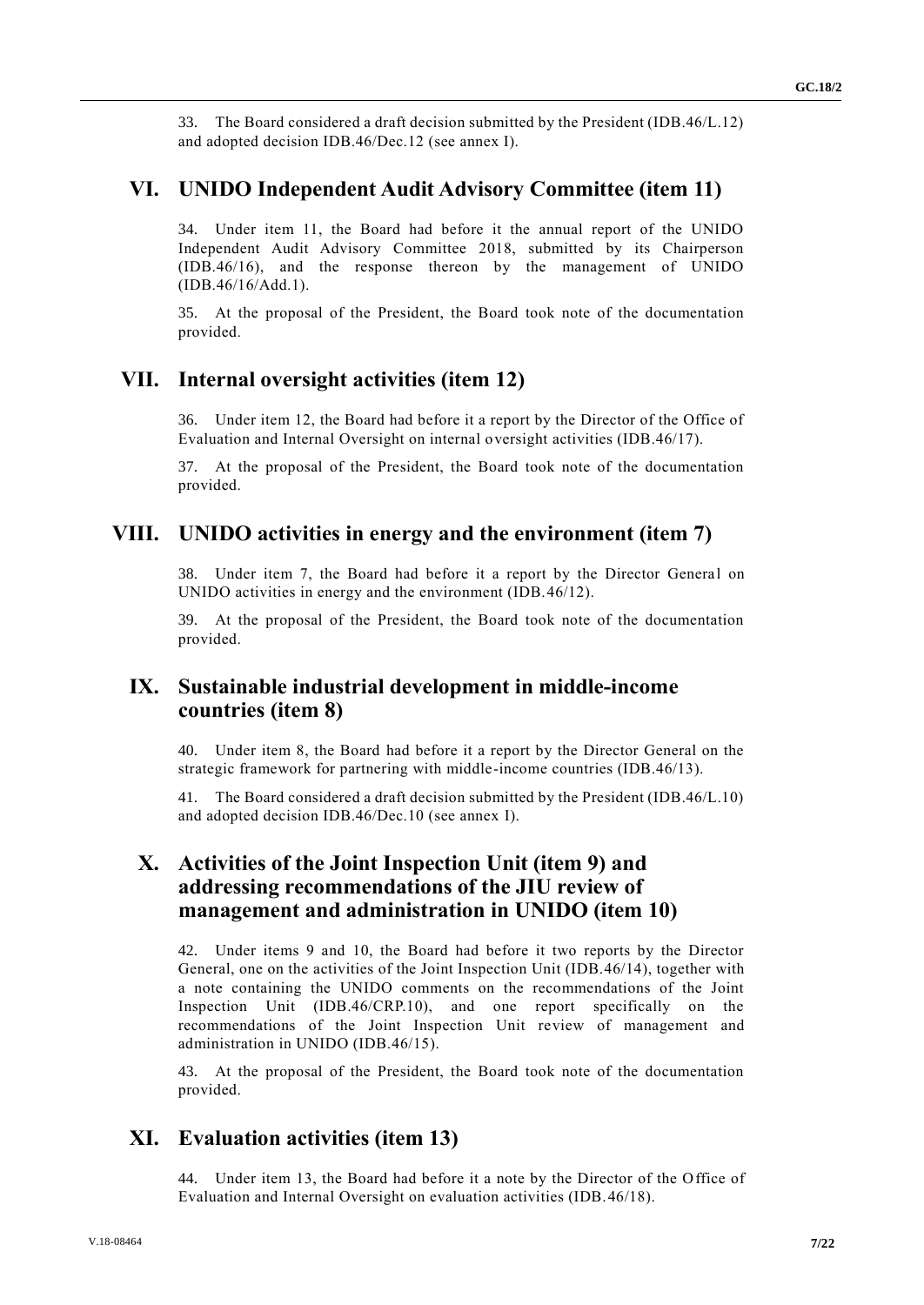33. The Board considered a draft decision submitted by the President (IDB.46/L.12) and adopted decision IDB.46/Dec.12 (see annex I).

## **VI. UNIDO Independent Audit Advisory Committee (item 11)**

34. Under item 11, the Board had before it the annual report of the UNIDO Independent Audit Advisory Committee 2018, submitted by its Chairperson (IDB.46/16), and the response thereon by the management of UNIDO (IDB.46/16/Add.1).

35. At the proposal of the President, the Board took note of the documentation provided.

# **VII. Internal oversight activities (item 12)**

36. Under item 12, the Board had before it a report by the Director of the Office of Evaluation and Internal Oversight on internal oversight activities (IDB.46/17).

37. At the proposal of the President, the Board took note of the documentation provided.

## **VIII. UNIDO activities in energy and the environment (item 7)**

38. Under item 7, the Board had before it a report by the Director General on UNIDO activities in energy and the environment (IDB.46/12).

39. At the proposal of the President, the Board took note of the documentation provided.

# **IX. Sustainable industrial development in middle-income countries (item 8)**

40. Under item 8, the Board had before it a report by the Director General on the strategic framework for partnering with middle-income countries (IDB.46/13).

41. The Board considered a draft decision submitted by the President (IDB.46/L.10) and adopted decision IDB.46/Dec.10 (see annex I).

# **X. Activities of the Joint Inspection Unit (item 9) and addressing recommendations of the JIU review of management and administration in UNIDO (item 10)**

42. Under items 9 and 10, the Board had before it two reports by the Director General, one on the activities of the Joint Inspection Unit (IDB.46/14), together with a note containing the UNIDO comments on the recommendations of the Joint Inspection Unit (IDB.46/CRP.10), and one report specifically on the recommendations of the Joint Inspection Unit review of management and administration in UNIDO (IDB.46/15).

43. At the proposal of the President, the Board took note of the documentation provided.

# **XI. Evaluation activities (item 13)**

44. Under item 13, the Board had before it a note by the Director of the Office of Evaluation and Internal Oversight on evaluation activities (IDB.46/18).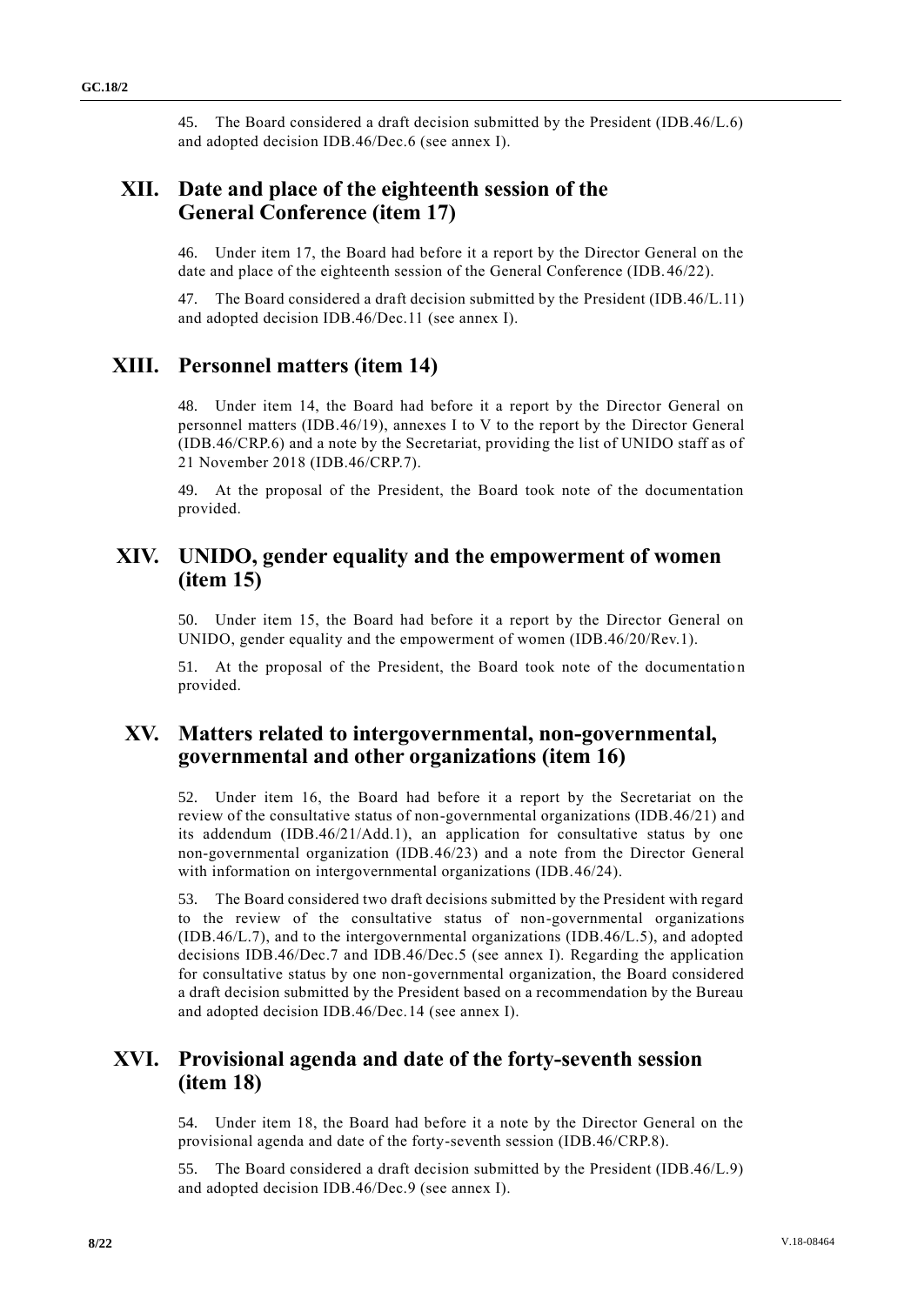45. The Board considered a draft decision submitted by the President (IDB.46/L.6) and adopted decision IDB.46/Dec.6 (see annex I).

# **XII. Date and place of the eighteenth session of the General Conference (item 17)**

46. Under item 17, the Board had before it a report by the Director General on the date and place of the eighteenth session of the General Conference (IDB.46/22).

The Board considered a draft decision submitted by the President (IDB.46/L.11) and adopted decision IDB.46/Dec.11 (see annex I).

# **XIII. Personnel matters (item 14)**

48. Under item 14, the Board had before it a report by the Director General on personnel matters (IDB.46/19), annexes I to V to the report by the Director General (IDB.46/CRP.6) and a note by the Secretariat, providing the list of UNIDO staff as of 21 November 2018 (IDB.46/CRP.7).

49. At the proposal of the President, the Board took note of the documentation provided.

# **XIV. UNIDO, gender equality and the empowerment of women (item 15)**

50. Under item 15, the Board had before it a report by the Director General on UNIDO, gender equality and the empowerment of women (IDB.46/20/Rev.1).

51. At the proposal of the President, the Board took note of the documentatio n provided.

# **XV. Matters related to intergovernmental, non-governmental, governmental and other organizations (item 16)**

52. Under item 16, the Board had before it a report by the Secretariat on the review of the consultative status of non-governmental organizations (IDB.46/21) and its addendum (IDB.46/21/Add.1), an application for consultative status by one non-governmental organization (IDB.46/23) and a note from the Director General with information on intergovernmental organizations (IDB.46/24).

53. The Board considered two draft decisions submitted by the President with regard to the review of the consultative status of non-governmental organizations (IDB.46/L.7), and to the intergovernmental organizations (IDB.46/L.5), and adopted decisions IDB.46/Dec.7 and IDB.46/Dec.5 (see annex I). Regarding the application for consultative status by one non-governmental organization, the Board considered a draft decision submitted by the President based on a recommendation by the Bureau and adopted decision IDB.46/Dec.14 (see annex I).

# **XVI. Provisional agenda and date of the forty-seventh session (item 18)**

54. Under item 18, the Board had before it a note by the Director General on the provisional agenda and date of the forty-seventh session (IDB.46/CRP.8).

55. The Board considered a draft decision submitted by the President (IDB.46/L.9) and adopted decision IDB.46/Dec.9 (see annex I).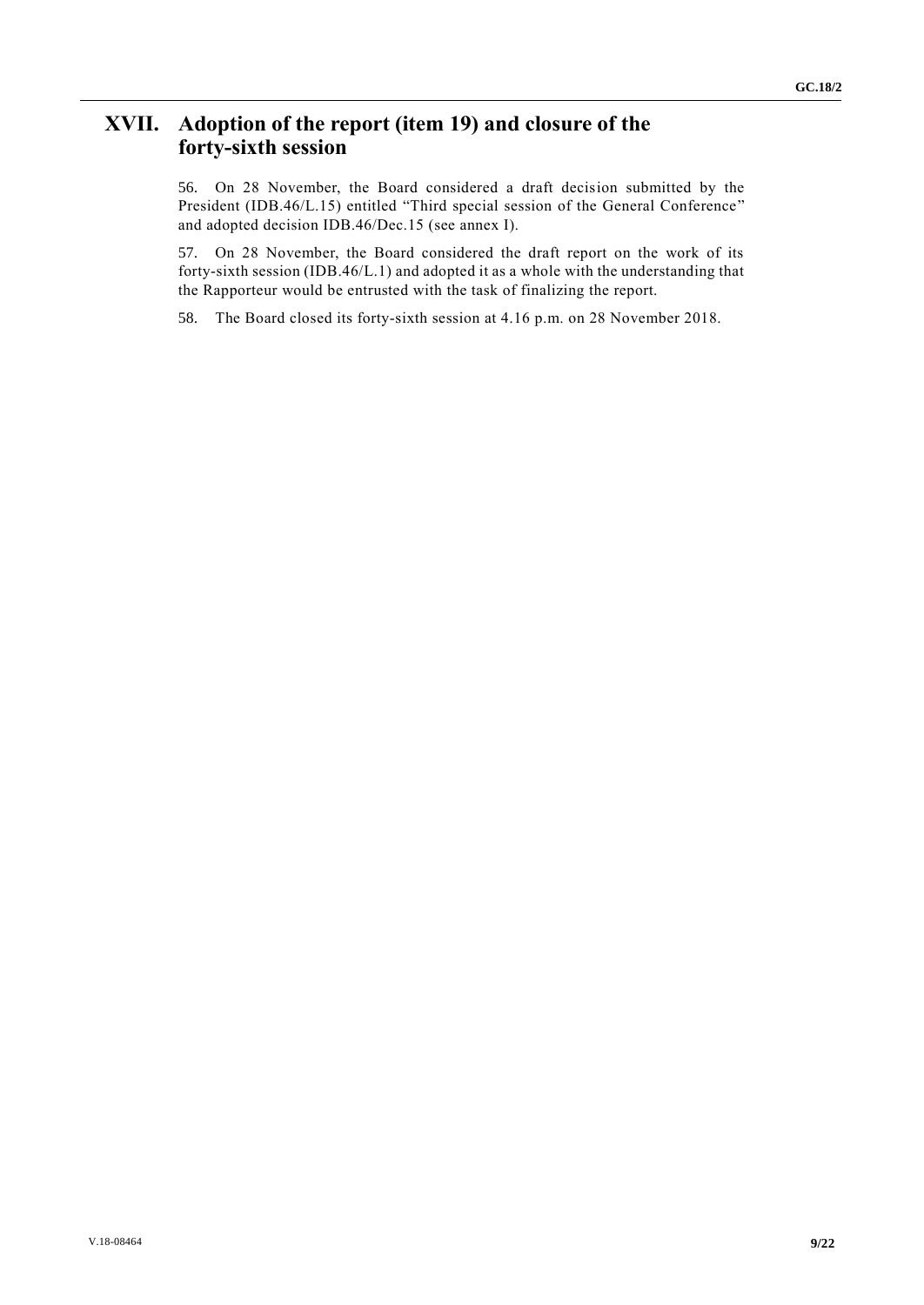# **XVII. Adoption of the report (item 19) and closure of the forty-sixth session**

56. On 28 November, the Board considered a draft decision submitted by the President (IDB.46/L.15) entitled "Third special session of the General Conference" and adopted decision IDB.46/Dec.15 (see annex I).

57. On 28 November, the Board considered the draft report on the work of its forty-sixth session (IDB.46/L.1) and adopted it as a whole with the understanding that the Rapporteur would be entrusted with the task of finalizing the report.

58. The Board closed its forty-sixth session at 4.16 p.m. on 28 November 2018.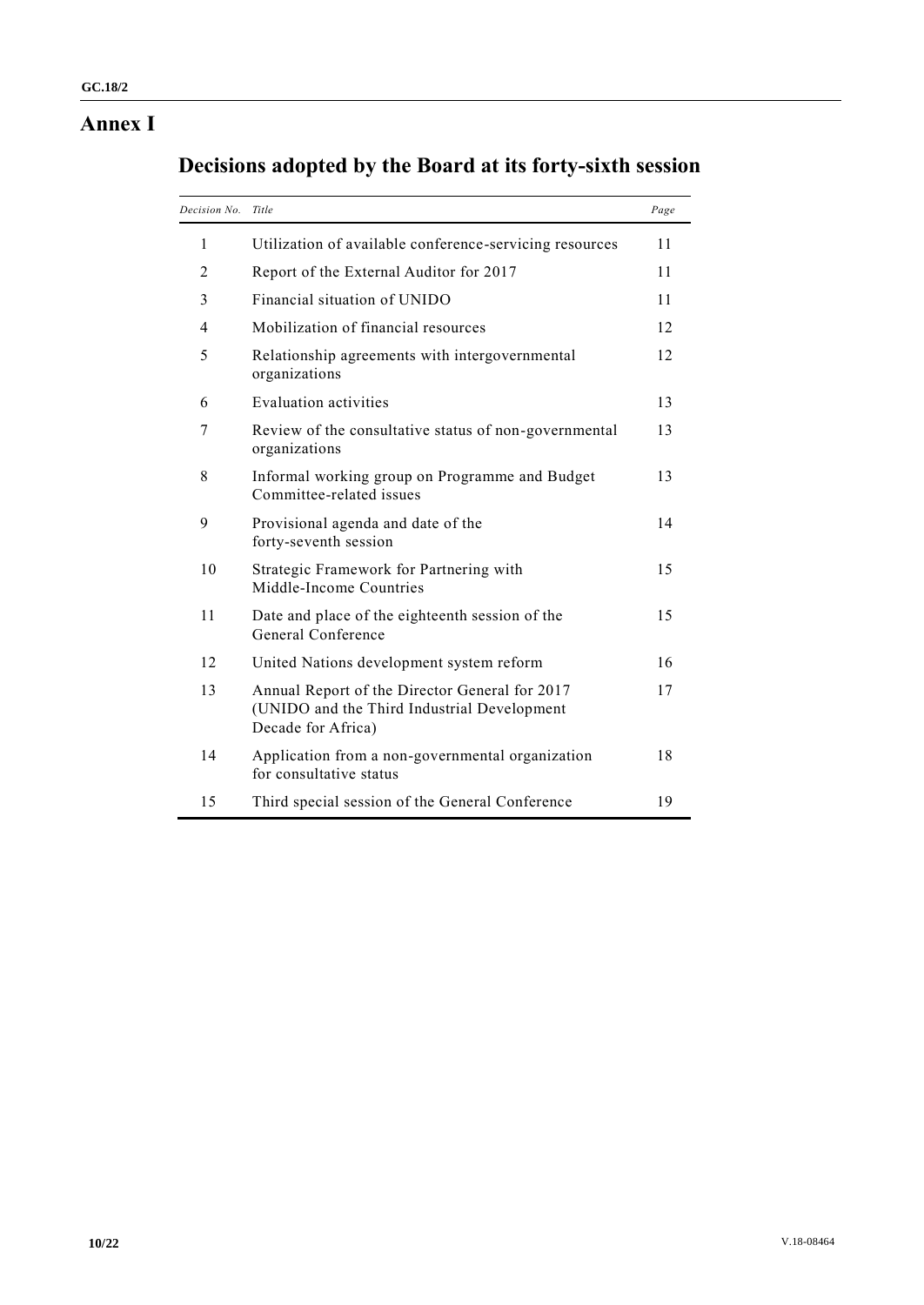# **Annex I**

|  |  | Decisions adopted by the Board at its forty-sixth session |  |
|--|--|-----------------------------------------------------------|--|
|  |  |                                                           |  |

| Decision No. | Title                                                                                                               | Page |
|--------------|---------------------------------------------------------------------------------------------------------------------|------|
| 1            | Utilization of available conference-servicing resources                                                             | 11   |
| 2            | Report of the External Auditor for 2017                                                                             | 11   |
| 3            | Financial situation of UNIDO                                                                                        | 11   |
| 4            | Mobilization of financial resources                                                                                 | 12   |
| 5            | Relationship agreements with intergovernmental<br>organizations                                                     | 12   |
| 6            | Evaluation activities                                                                                               | 13   |
| 7            | Review of the consultative status of non-governmental<br>organizations                                              | 13   |
| 8            | Informal working group on Programme and Budget<br>Committee-related issues                                          | 13   |
| 9            | Provisional agenda and date of the<br>forty-seventh session                                                         | 14   |
| 10           | Strategic Framework for Partnering with<br>Middle-Income Countries                                                  | 15   |
| 11           | Date and place of the eighteenth session of the<br>General Conference                                               | 15   |
| 12           | United Nations development system reform                                                                            | 16   |
| 13           | Annual Report of the Director General for 2017<br>(UNIDO and the Third Industrial Development<br>Decade for Africa) | 17   |
| 14           | Application from a non-governmental organization<br>for consultative status                                         | 18   |
| 15           | Third special session of the General Conference                                                                     | 19   |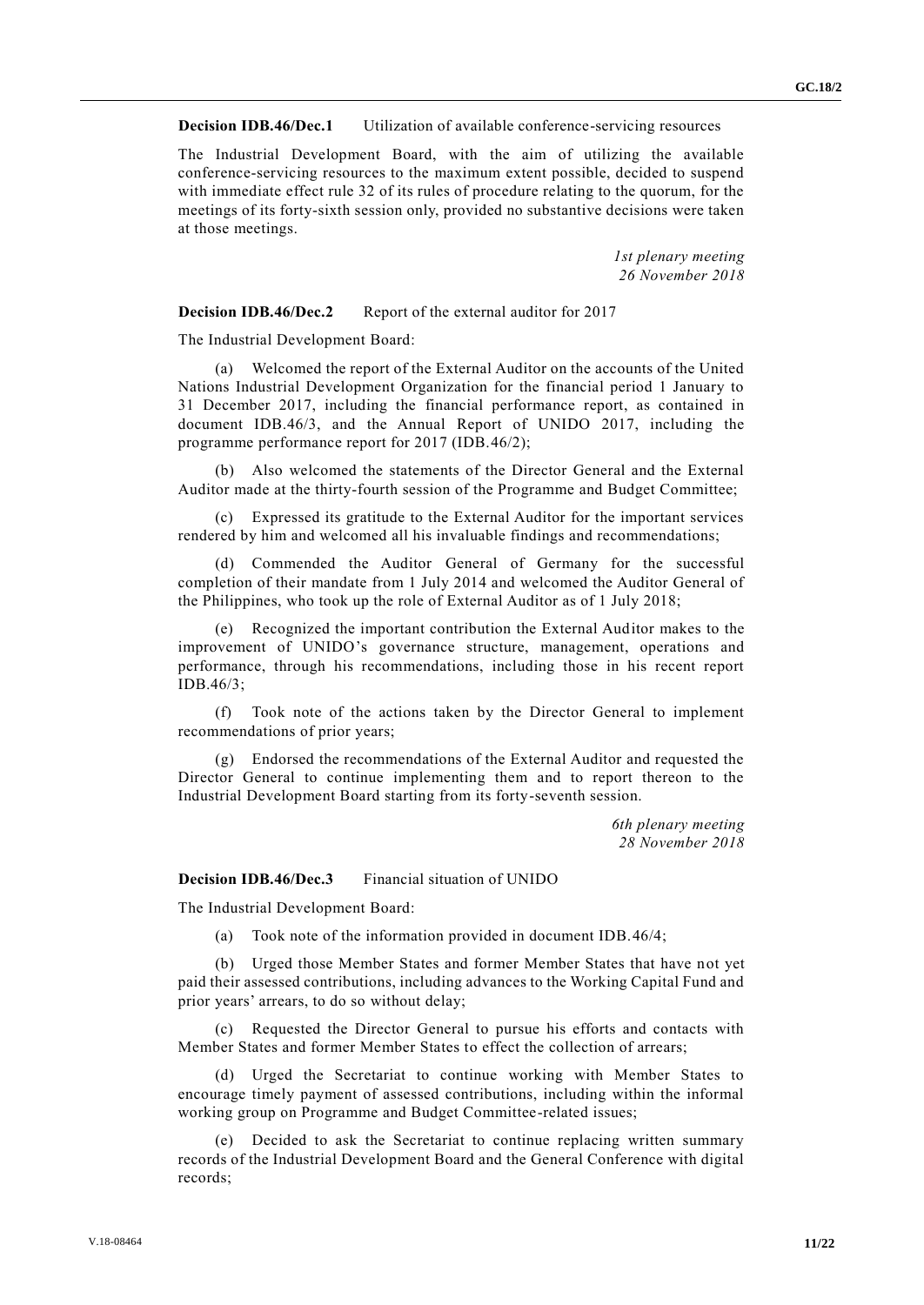#### **Decision IDB.46/Dec.1** Utilization of available conference-servicing resources

The Industrial Development Board, with the aim of utilizing the available conference-servicing resources to the maximum extent possible, decided to suspend with immediate effect rule 32 of its rules of procedure relating to the quorum, for the meetings of its forty-sixth session only, provided no substantive decisions were taken at those meetings.

> *1st plenary meeting 26 November 2018*

#### **Decision IDB.46/Dec.2** Report of the external auditor for 2017

The Industrial Development Board:

(a) Welcomed the report of the External Auditor on the accounts of the United Nations Industrial Development Organization for the financial period 1 January to 31 December 2017, including the financial performance report, as contained in document IDB.46/3, and the Annual Report of UNIDO 2017, including the programme performance report for 2017 (IDB.46/2);

(b) Also welcomed the statements of the Director General and the External Auditor made at the thirty-fourth session of the Programme and Budget Committee;

(c) Expressed its gratitude to the External Auditor for the important services rendered by him and welcomed all his invaluable findings and recommendations;

(d) Commended the Auditor General of Germany for the successful completion of their mandate from 1 July 2014 and welcomed the Auditor General of the Philippines, who took up the role of External Auditor as of 1 July 2018;

(e) Recognized the important contribution the External Auditor makes to the improvement of UNIDO's governance structure, management, operations and performance, through his recommendations, including those in his recent report IDB.46/3;

(f) Took note of the actions taken by the Director General to implement recommendations of prior years;

(g) Endorsed the recommendations of the External Auditor and requested the Director General to continue implementing them and to report thereon to the Industrial Development Board starting from its forty-seventh session.

> *6th plenary meeting 28 November 2018*

#### **Decision IDB.46/Dec.3** Financial situation of UNIDO

The Industrial Development Board:

(a) Took note of the information provided in document IDB.46/4;

(b) Urged those Member States and former Member States that have not yet paid their assessed contributions, including advances to the Working Capital Fund and prior years' arrears, to do so without delay;

(c) Requested the Director General to pursue his efforts and contacts with Member States and former Member States to effect the collection of arrears;

(d) Urged the Secretariat to continue working with Member States to encourage timely payment of assessed contributions, including within the informal working group on Programme and Budget Committee-related issues;

(e) Decided to ask the Secretariat to continue replacing written summary records of the Industrial Development Board and the General Conference with digital records;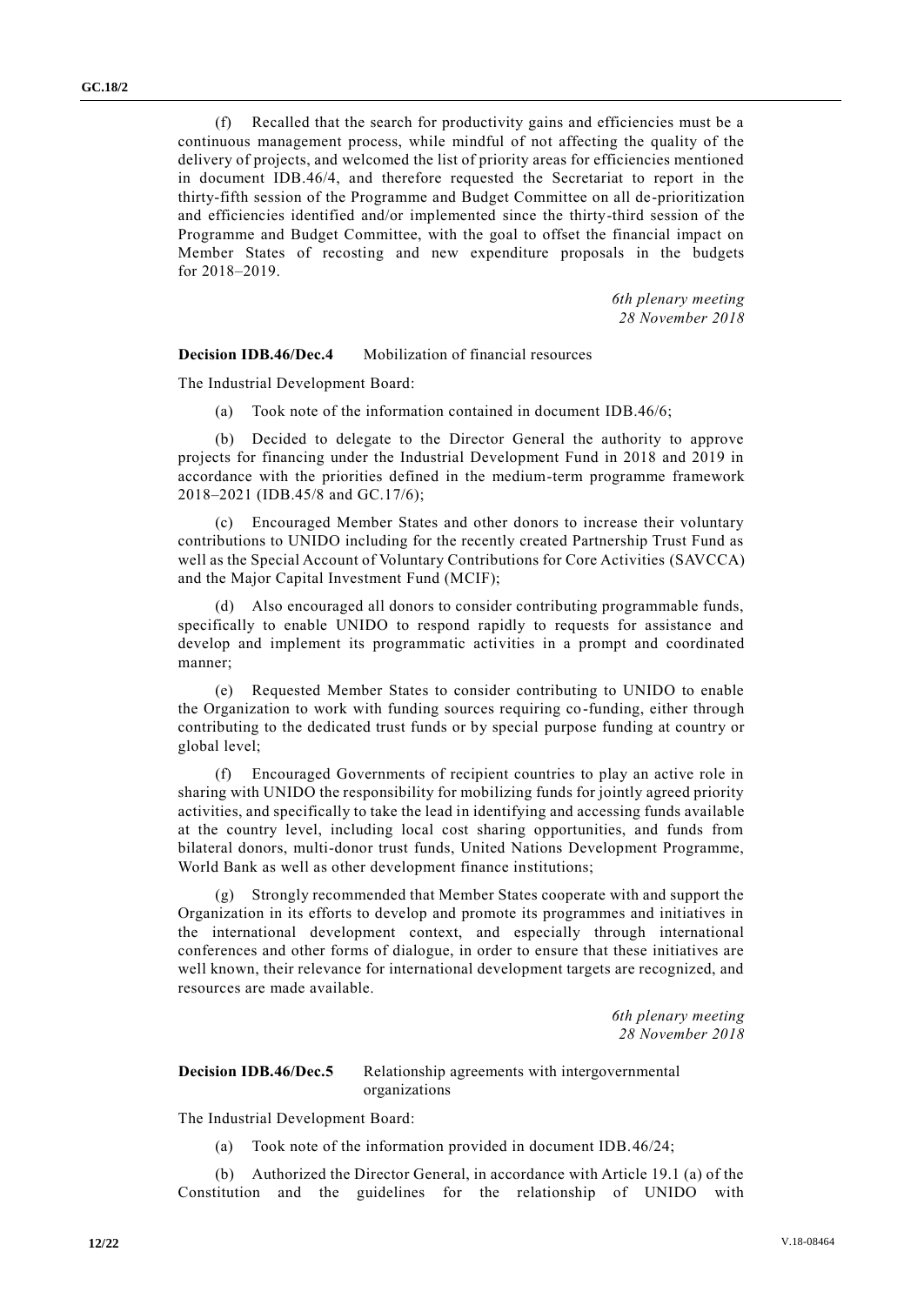(f) Recalled that the search for productivity gains and efficiencies must be a continuous management process, while mindful of not affecting the quality of the delivery of projects, and welcomed the list of priority areas for efficiencies mentioned in document IDB.46/4, and therefore requested the Secretariat to report in the thirty-fifth session of the Programme and Budget Committee on all de-prioritization and efficiencies identified and/or implemented since the thirty-third session of the Programme and Budget Committee, with the goal to offset the financial impact on Member States of recosting and new expenditure proposals in the budgets for 2018–2019.

> *6th plenary meeting 28 November 2018*

**Decision IDB.46/Dec.4** Mobilization of financial resources

The Industrial Development Board:

(a) Took note of the information contained in document IDB.46/6;

(b) Decided to delegate to the Director General the authority to approve projects for financing under the Industrial Development Fund in 2018 and 2019 in accordance with the priorities defined in the medium-term programme framework 2018–2021 (IDB.45/8 and GC.17/6);

(c) Encouraged Member States and other donors to increase their voluntary contributions to UNIDO including for the recently created Partnership Trust Fund as well as the Special Account of Voluntary Contributions for Core Activities (SAVCCA) and the Major Capital Investment Fund (MCIF);

(d) Also encouraged all donors to consider contributing programmable funds, specifically to enable UNIDO to respond rapidly to requests for assistance and develop and implement its programmatic activities in a prompt and coordinated manner;

(e) Requested Member States to consider contributing to UNIDO to enable the Organization to work with funding sources requiring co-funding, either through contributing to the dedicated trust funds or by special purpose funding at country or global level;

(f) Encouraged Governments of recipient countries to play an active role in sharing with UNIDO the responsibility for mobilizing funds for jointly agreed priority activities, and specifically to take the lead in identifying and accessing funds available at the country level, including local cost sharing opportunities, and funds from bilateral donors, multi-donor trust funds, United Nations Development Programme, World Bank as well as other development finance institutions;

(g) Strongly recommended that Member States cooperate with and support the Organization in its efforts to develop and promote its programmes and initiatives in the international development context, and especially through international conferences and other forms of dialogue, in order to ensure that these initiatives are well known, their relevance for international development targets are recognized, and resources are made available.

> *6th plenary meeting 28 November 2018*

#### **Decision IDB.46/Dec.5** Relationship agreements with intergovernmental organizations

The Industrial Development Board:

(a) Took note of the information provided in document IDB.46/24;

(b) Authorized the Director General, in accordance with Article 19.1 (a) of the Constitution and the guidelines for the relationship of UNIDO with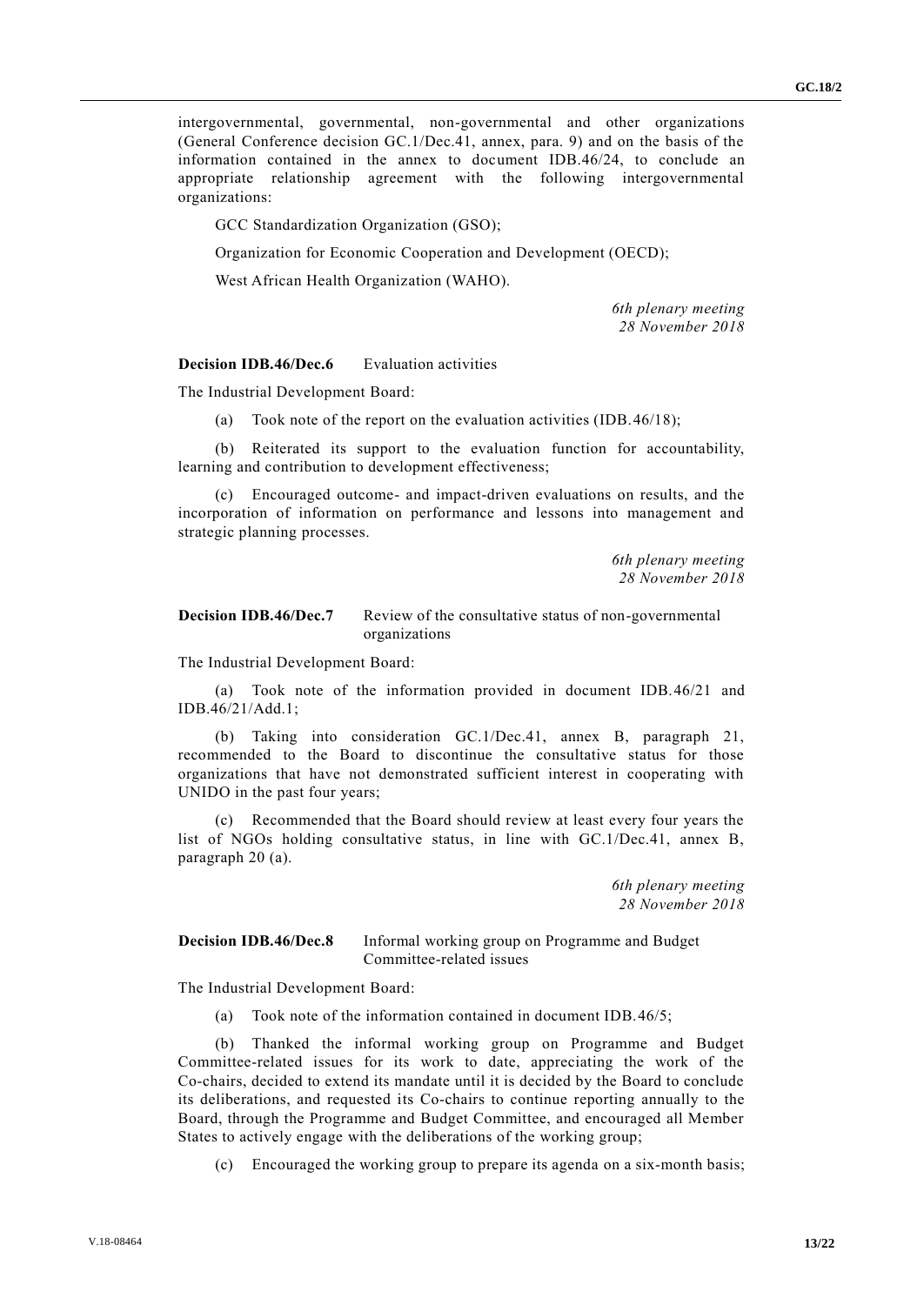intergovernmental, governmental, non-governmental and other organizations (General Conference decision GC.1/Dec.41, annex, para. 9) and on the basis of the information contained in the annex to document IDB.46/24, to conclude an appropriate relationship agreement with the following intergovernmental organizations:

GCC Standardization Organization (GSO);

Organization for Economic Cooperation and Development (OECD);

West African Health Organization (WAHO).

*6th plenary meeting 28 November 2018*

**Decision IDB.46/Dec.6** Evaluation activities

The Industrial Development Board:

(a) Took note of the report on the evaluation activities (IDB.46/18);

(b) Reiterated its support to the evaluation function for accountability, learning and contribution to development effectiveness;

(c) Encouraged outcome- and impact-driven evaluations on results, and the incorporation of information on performance and lessons into management and strategic planning processes.

> *6th plenary meeting 28 November 2018*

#### **Decision IDB.46/Dec.7** Review of the consultative status of non-governmental organizations

The Industrial Development Board:

(a) Took note of the information provided in document IDB.46/21 and IDB.46/21/Add.1;

(b) Taking into consideration GC.1/Dec.41, annex B, paragraph 21, recommended to the Board to discontinue the consultative status for those organizations that have not demonstrated sufficient interest in cooperating with UNIDO in the past four years;

(c) Recommended that the Board should review at least every four years the list of NGOs holding consultative status, in line with GC.1/Dec.41, annex B, paragraph 20 (a).

> *6th plenary meeting 28 November 2018*

**Decision IDB.46/Dec.8** Informal working group on Programme and Budget Committee-related issues

The Industrial Development Board:

(a) Took note of the information contained in document IDB.46/5;

(b) Thanked the informal working group on Programme and Budget Committee-related issues for its work to date, appreciating the work of the Co-chairs, decided to extend its mandate until it is decided by the Board to conclude its deliberations, and requested its Co-chairs to continue reporting annually to the Board, through the Programme and Budget Committee, and encouraged all Member States to actively engage with the deliberations of the working group;

(c) Encouraged the working group to prepare its agenda on a six-month basis;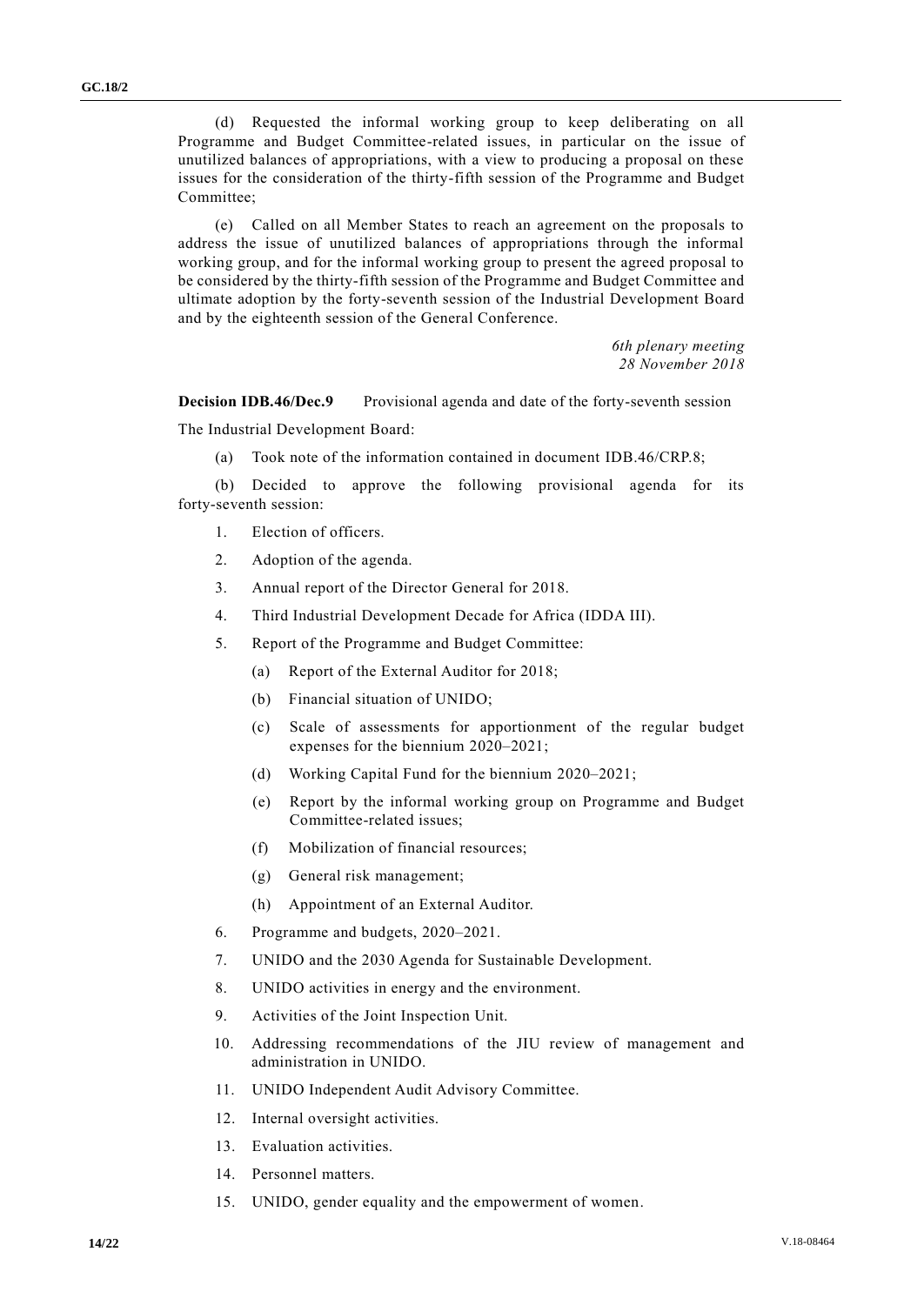(d) Requested the informal working group to keep deliberating on all Programme and Budget Committee-related issues, in particular on the issue of unutilized balances of appropriations, with a view to producing a proposal on these issues for the consideration of the thirty-fifth session of the Programme and Budget Committee;

(e) Called on all Member States to reach an agreement on the proposals to address the issue of unutilized balances of appropriations through the informal working group, and for the informal working group to present the agreed proposal to be considered by the thirty-fifth session of the Programme and Budget Committee and ultimate adoption by the forty-seventh session of the Industrial Development Board and by the eighteenth session of the General Conference.

> *6th plenary meeting 28 November 2018*

**Decision IDB.46/Dec.9** Provisional agenda and date of the forty-seventh session

The Industrial Development Board:

(a) Took note of the information contained in document IDB.46/CRP.8;

(b) Decided to approve the following provisional agenda for its forty-seventh session:

- 1. Election of officers.
- 2. Adoption of the agenda.
- 3. Annual report of the Director General for 2018.
- 4. Third Industrial Development Decade for Africa (IDDA III).
- 5. Report of the Programme and Budget Committee:
	- (a) Report of the External Auditor for 2018;
	- (b) Financial situation of UNIDO;
	- (c) Scale of assessments for apportionment of the regular budget expenses for the biennium 2020–2021;
	- (d) Working Capital Fund for the biennium 2020–2021;
	- (e) Report by the informal working group on Programme and Budget Committee-related issues;
	- (f) Mobilization of financial resources;
	- (g) General risk management;
	- (h) Appointment of an External Auditor.
- 6. Programme and budgets, 2020–2021.
- 7. UNIDO and the 2030 Agenda for Sustainable Development.
- 8. UNIDO activities in energy and the environment.
- 9. Activities of the Joint Inspection Unit.
- 10. Addressing recommendations of the JIU review of management and administration in UNIDO.
- 11. UNIDO Independent Audit Advisory Committee.
- 12. Internal oversight activities.
- 13. Evaluation activities.
- 14. Personnel matters.
- 15. UNIDO, gender equality and the empowerment of women.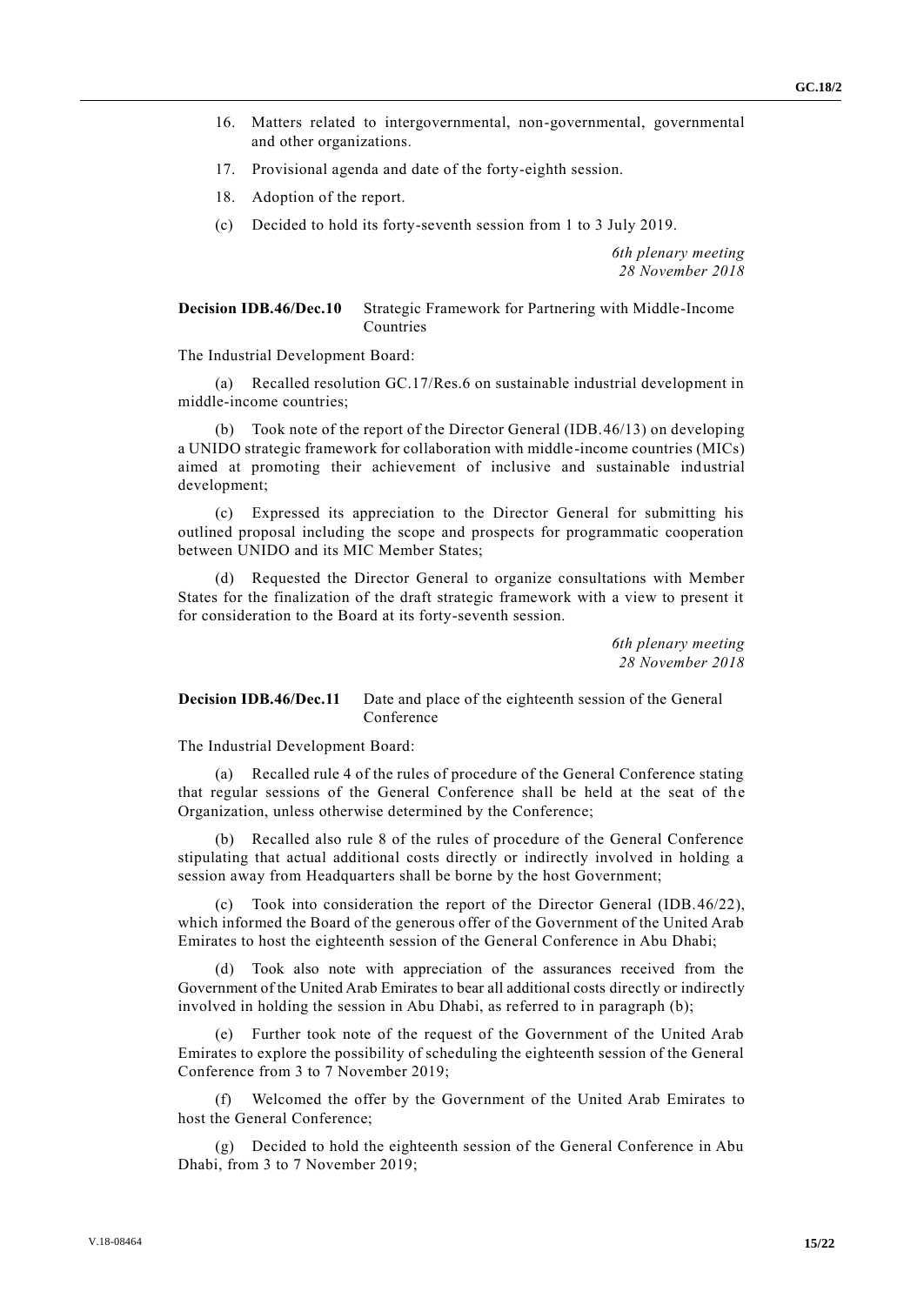- 16. Matters related to intergovernmental, non-governmental, governmental and other organizations.
- 17. Provisional agenda and date of the forty-eighth session.
- 18. Adoption of the report.
- (c) Decided to hold its forty-seventh session from 1 to 3 July 2019.

*6th plenary meeting 28 November 2018*

#### **Decision IDB.46/Dec.10** Strategic Framework for Partnering with Middle-Income Countries

The Industrial Development Board:

(a) Recalled resolution GC.17/Res.6 on sustainable industrial development in middle-income countries;

(b) Took note of the report of the Director General (IDB.46/13) on developing a UNIDO strategic framework for collaboration with middle-income countries (MICs) aimed at promoting their achievement of inclusive and sustainable industrial development;

(c) Expressed its appreciation to the Director General for submitting his outlined proposal including the scope and prospects for programmatic cooperation between UNIDO and its MIC Member States;

(d) Requested the Director General to organize consultations with Member States for the finalization of the draft strategic framework with a view to present it for consideration to the Board at its forty-seventh session.

> *6th plenary meeting 28 November 2018*

#### **Decision IDB.46/Dec.11** Date and place of the eighteenth session of the General Conference

The Industrial Development Board:

(a) Recalled rule 4 of the rules of procedure of the General Conference stating that regular sessions of the General Conference shall be held at the seat of the Organization, unless otherwise determined by the Conference;

(b) Recalled also rule 8 of the rules of procedure of the General Conference stipulating that actual additional costs directly or indirectly involved in holding a session away from Headquarters shall be borne by the host Government;

Took into consideration the report of the Director General (IDB.46/22), which informed the Board of the generous offer of the Government of the United Arab Emirates to host the eighteenth session of the General Conference in Abu Dhabi;

Took also note with appreciation of the assurances received from the Government of the United Arab Emirates to bear all additional costs directly or indirectly involved in holding the session in Abu Dhabi, as referred to in paragraph (b);

(e) Further took note of the request of the Government of the United Arab Emirates to explore the possibility of scheduling the eighteenth session of the General Conference from 3 to 7 November 2019;

(f) Welcomed the offer by the Government of the United Arab Emirates to host the General Conference;

(g) Decided to hold the eighteenth session of the General Conference in Abu Dhabi, from 3 to 7 November 2019;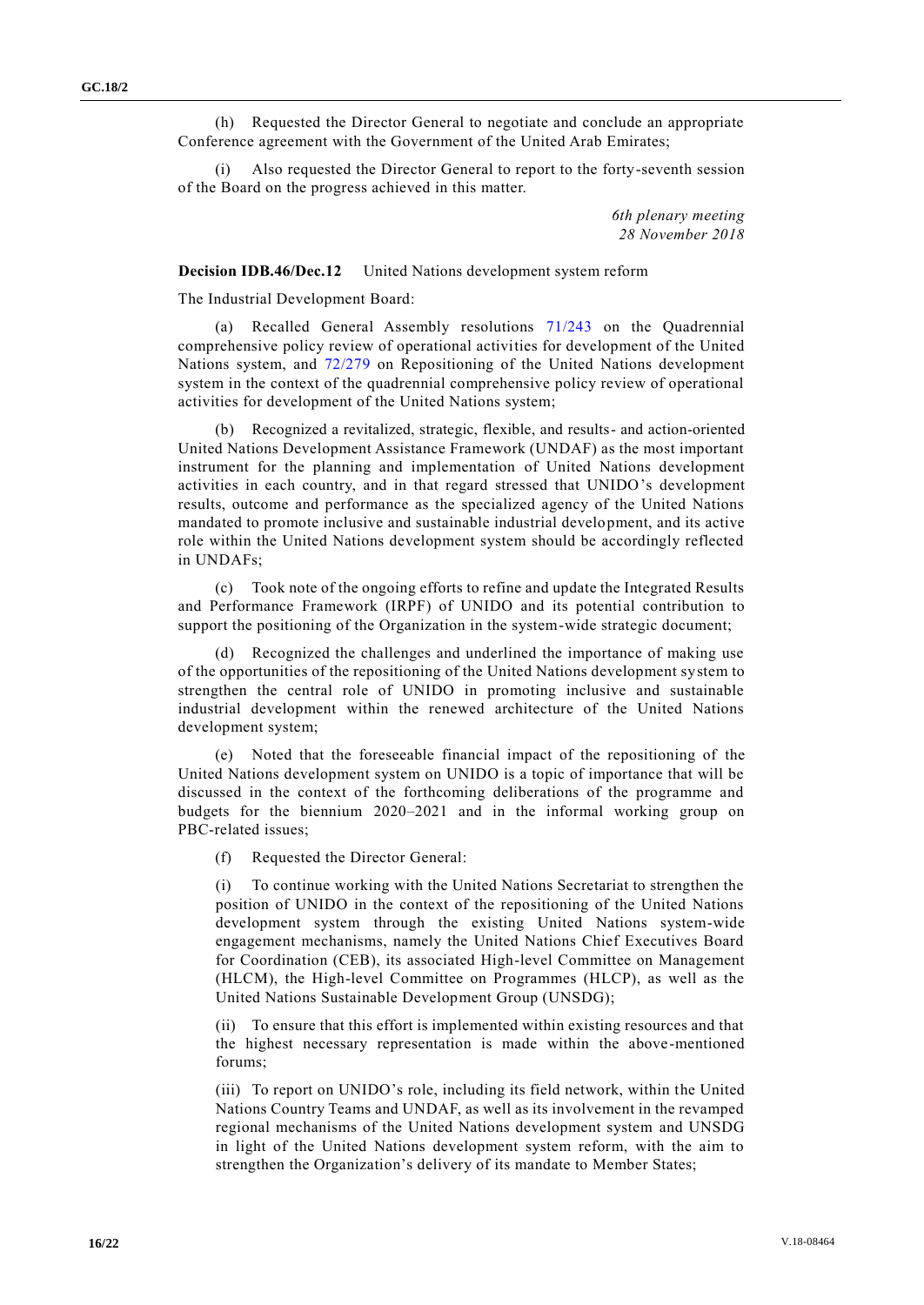(h) Requested the Director General to negotiate and conclude an appropriate Conference agreement with the Government of the United Arab Emirates;

(i) Also requested the Director General to report to the forty-seventh session of the Board on the progress achieved in this matter.

> *6th plenary meeting 28 November 2018*

**Decision IDB.46/Dec.12** United Nations development system reform

The Industrial Development Board:

(a) Recalled General Assembly resolutions [71/243](http://undocs.org/A/RES/71/243) on the Quadrennial comprehensive policy review of operational activities for development of the United Nations system, and [72/279](http://undocs.org/A/RES/72/279) on Repositioning of the United Nations development system in the context of the quadrennial comprehensive policy review of operational activities for development of the United Nations system;

(b) Recognized a revitalized, strategic, flexible, and results- and action-oriented United Nations Development Assistance Framework (UNDAF) as the most important instrument for the planning and implementation of United Nations development activities in each country, and in that regard stressed that UNIDO's development results, outcome and performance as the specialized agency of the United Nations mandated to promote inclusive and sustainable industrial development, and its active role within the United Nations development system should be accordingly reflected in UNDAFs;

(c) Took note of the ongoing efforts to refine and update the Integrated Results and Performance Framework (IRPF) of UNIDO and its potential contribution to support the positioning of the Organization in the system-wide strategic document;

(d) Recognized the challenges and underlined the importance of making use of the opportunities of the repositioning of the United Nations development system to strengthen the central role of UNIDO in promoting inclusive and sustainable industrial development within the renewed architecture of the United Nations development system;

(e) Noted that the foreseeable financial impact of the repositioning of the United Nations development system on UNIDO is a topic of importance that will be discussed in the context of the forthcoming deliberations of the programme and budgets for the biennium 2020–2021 and in the informal working group on PBC-related issues;

(f) Requested the Director General:

(i) To continue working with the United Nations Secretariat to strengthen the position of UNIDO in the context of the repositioning of the United Nations development system through the existing United Nations system-wide engagement mechanisms, namely the United Nations Chief Executives Board for Coordination (CEB), its associated High-level Committee on Management (HLCM), the High-level Committee on Programmes (HLCP), as well as the United Nations Sustainable Development Group (UNSDG);

(ii) To ensure that this effort is implemented within existing resources and that the highest necessary representation is made within the above-mentioned forums;

(iii) To report on UNIDO's role, including its field network, within the United Nations Country Teams and UNDAF, as well as its involvement in the revamped regional mechanisms of the United Nations development system and UNSDG in light of the United Nations development system reform, with the aim to strengthen the Organization's delivery of its mandate to Member States;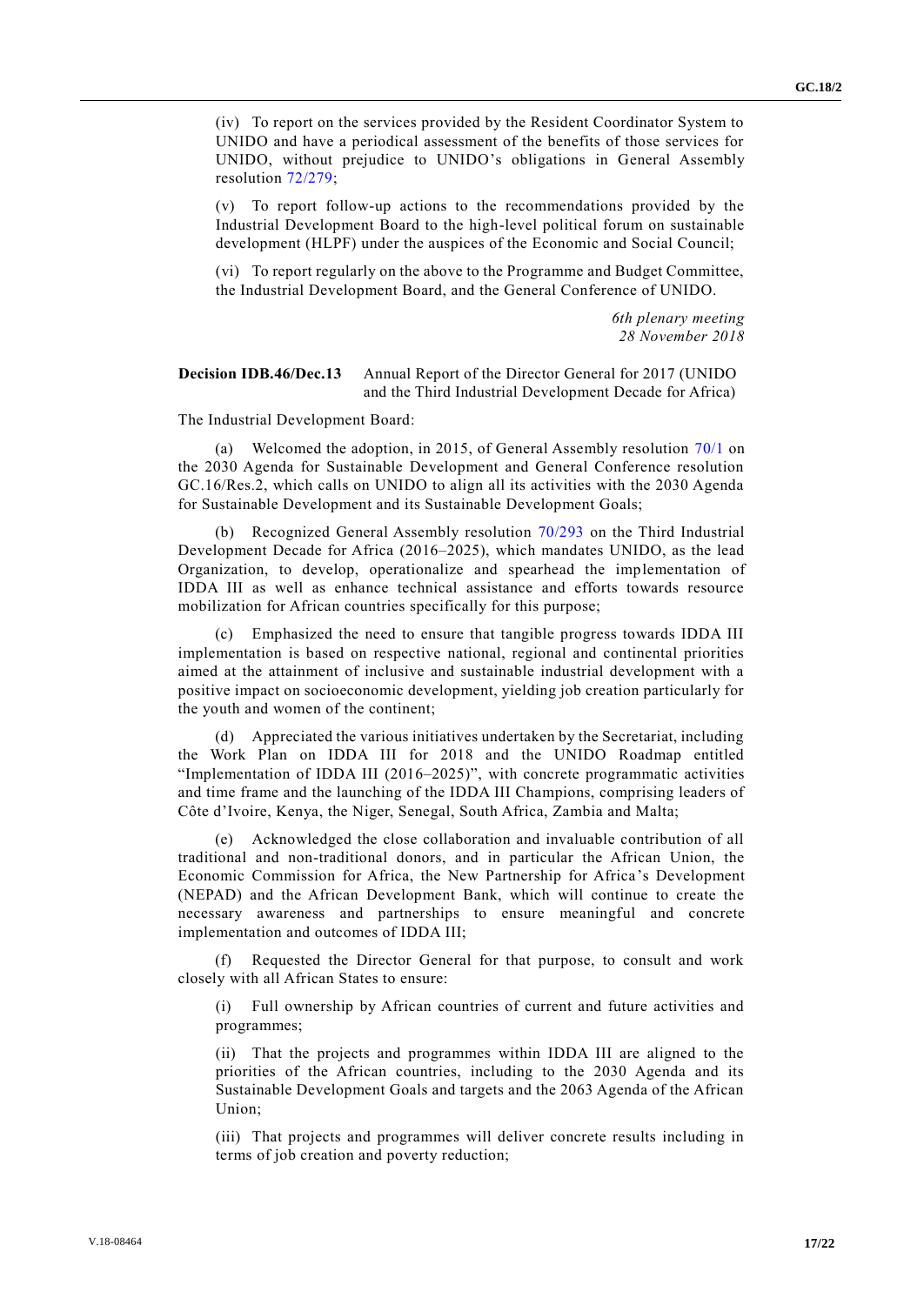(iv) To report on the services provided by the Resident Coordinator System to UNIDO and have a periodical assessment of the benefits of those services for UNIDO, without prejudice to UNIDO's obligations in General Assembly resolution [72/279;](http://undocs.org/A/RES/72/279)

(v) To report follow-up actions to the recommendations provided by the Industrial Development Board to the high-level political forum on sustainable development (HLPF) under the auspices of the Economic and Social Council;

(vi) To report regularly on the above to the Programme and Budget Committee, the Industrial Development Board, and the General Conference of UNIDO.

> *6th plenary meeting 28 November 2018*

#### **Decision IDB.46/Dec.13** Annual Report of the Director General for 2017 (UNIDO and the Third Industrial Development Decade for Africa)

The Industrial Development Board:

(a) Welcomed the adoption, in 2015, of General Assembly resolution [70/1](http://undocs.org/A/RES/70/1) on the 2030 Agenda for Sustainable Development and General Conference resolution GC.16/Res.2, which calls on UNIDO to align all its activities with the 2030 Agenda for Sustainable Development and its Sustainable Development Goals;

(b) Recognized General Assembly resolution [70/293](http://undocs.org/A/RES/70/293) on the Third Industrial Development Decade for Africa (2016–2025), which mandates UNIDO, as the lead Organization, to develop, operationalize and spearhead the implementation of IDDA III as well as enhance technical assistance and efforts towards resource mobilization for African countries specifically for this purpose;

(c) Emphasized the need to ensure that tangible progress towards IDDA III implementation is based on respective national, regional and continental priorities aimed at the attainment of inclusive and sustainable industrial development with a positive impact on socioeconomic development, yielding job creation particularly for the youth and women of the continent;

(d) Appreciated the various initiatives undertaken by the Secretariat, including the Work Plan on IDDA III for 2018 and the UNIDO Roadmap entitled "Implementation of IDDA III (2016–2025)", with concrete programmatic activities and time frame and the launching of the IDDA III Champions, comprising leaders of Côte d'Ivoire, Kenya, the Niger, Senegal, South Africa, Zambia and Malta;

(e) Acknowledged the close collaboration and invaluable contribution of all traditional and non-traditional donors, and in particular the African Union, the Economic Commission for Africa, the New Partnership for Africa's Development (NEPAD) and the African Development Bank, which will continue to create the necessary awareness and partnerships to ensure meaningful and concrete implementation and outcomes of IDDA III;

Requested the Director General for that purpose, to consult and work closely with all African States to ensure:

(i) Full ownership by African countries of current and future activities and programmes;

(ii) That the projects and programmes within IDDA III are aligned to the priorities of the African countries, including to the 2030 Agenda and its Sustainable Development Goals and targets and the 2063 Agenda of the African Union;

(iii) That projects and programmes will deliver concrete results including in terms of job creation and poverty reduction;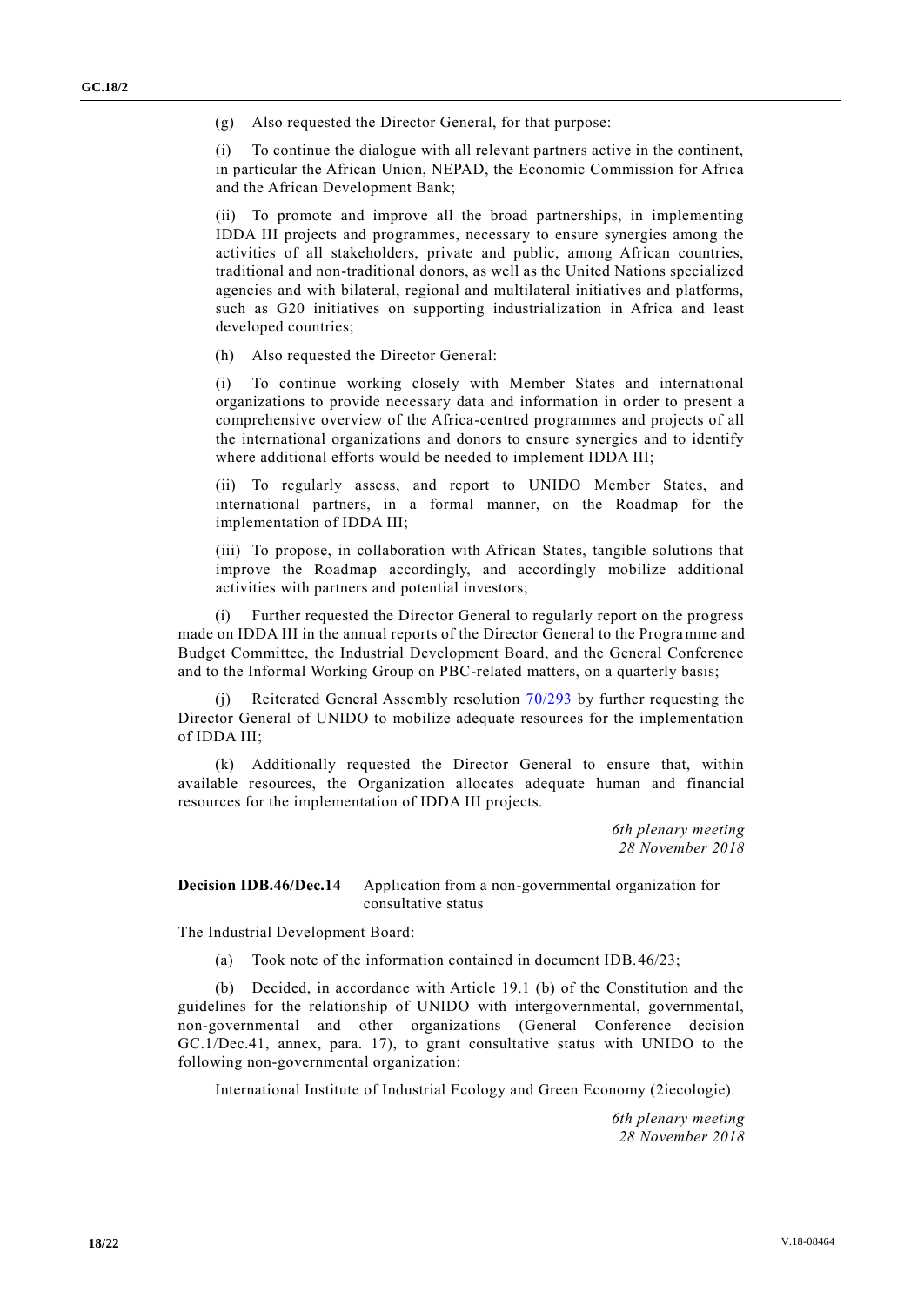(g) Also requested the Director General, for that purpose:

(i) To continue the dialogue with all relevant partners active in the continent, in particular the African Union, NEPAD, the Economic Commission for Africa and the African Development Bank;

(ii) To promote and improve all the broad partnerships, in implementing IDDA III projects and programmes, necessary to ensure synergies among the activities of all stakeholders, private and public, among African countries, traditional and non-traditional donors, as well as the United Nations specialized agencies and with bilateral, regional and multilateral initiatives and platforms, such as G20 initiatives on supporting industrialization in Africa and least developed countries;

(h) Also requested the Director General:

(i) To continue working closely with Member States and international organizations to provide necessary data and information in order to present a comprehensive overview of the Africa-centred programmes and projects of all the international organizations and donors to ensure synergies and to identify where additional efforts would be needed to implement IDDA III;

(ii) To regularly assess, and report to UNIDO Member States, and international partners, in a formal manner, on the Roadmap for the implementation of IDDA III;

(iii) To propose, in collaboration with African States, tangible solutions that improve the Roadmap accordingly, and accordingly mobilize additional activities with partners and potential investors;

Further requested the Director General to regularly report on the progress made on IDDA III in the annual reports of the Director General to the Programme and Budget Committee, the Industrial Development Board, and the General Conference and to the Informal Working Group on PBC-related matters, on a quarterly basis;

Reiterated General Assembly resolution  $70/293$  by further requesting the Director General of UNIDO to mobilize adequate resources for the implementation of IDDA III;

(k) Additionally requested the Director General to ensure that, within available resources, the Organization allocates adequate human and financial resources for the implementation of IDDA III projects.

> *6th plenary meeting 28 November 2018*

**Decision IDB.46/Dec.14** Application from a non-governmental organization for consultative status

The Industrial Development Board:

(a) Took note of the information contained in document IDB.46/23;

(b) Decided, in accordance with Article 19.1 (b) of the Constitution and the guidelines for the relationship of UNIDO with intergovernmental, governmental, non-governmental and other organizations (General Conference decision GC.1/Dec.41, annex, para. 17), to grant consultative status with UNIDO to the following non-governmental organization:

International Institute of Industrial Ecology and Green Economy (2iecologie).

*6th plenary meeting 28 November 2018*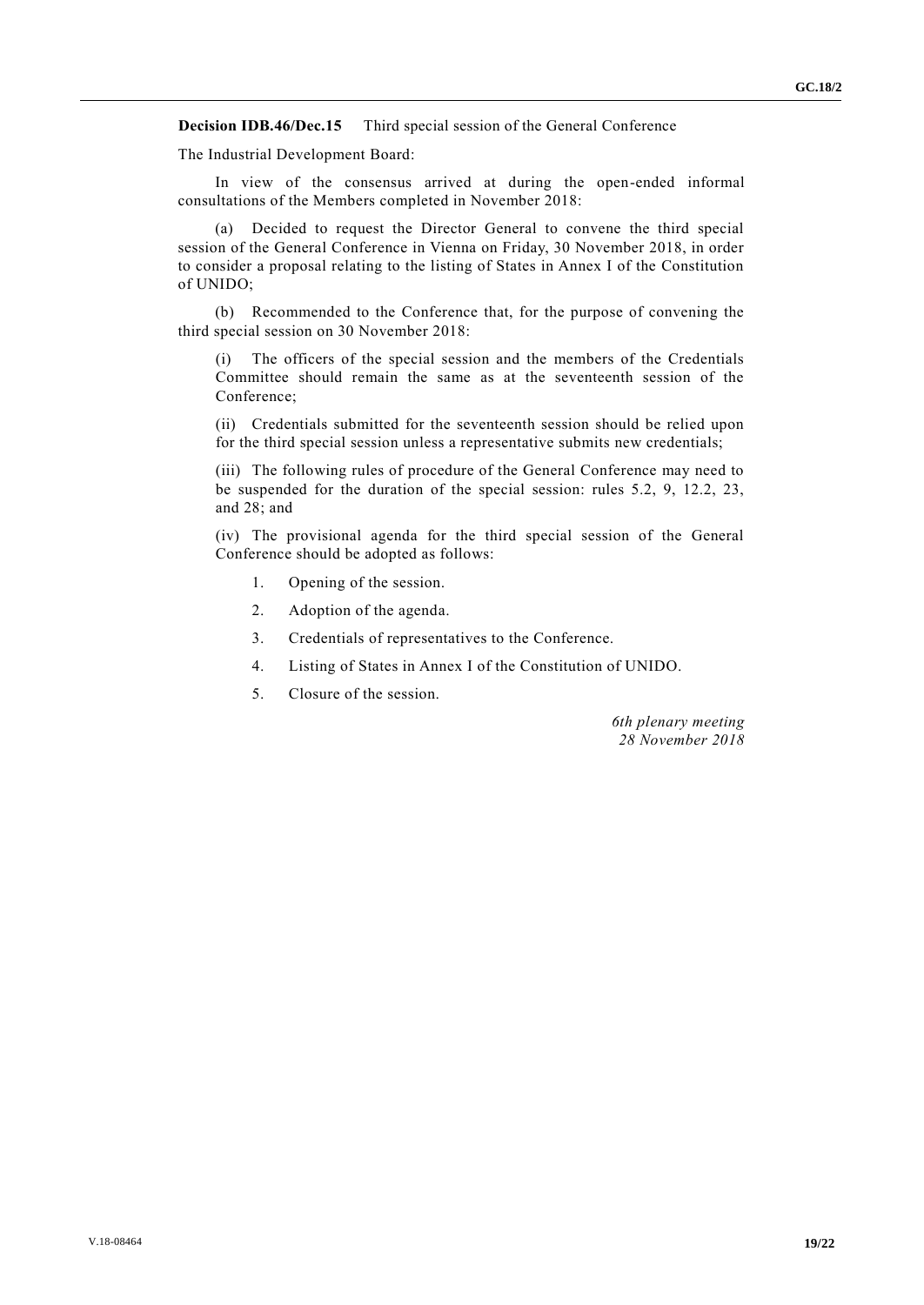#### **Decision IDB.46/Dec.15** Third special session of the General Conference

The Industrial Development Board:

In view of the consensus arrived at during the open-ended informal consultations of the Members completed in November 2018:

(a) Decided to request the Director General to convene the third special session of the General Conference in Vienna on Friday, 30 November 2018, in order to consider a proposal relating to the listing of States in Annex I of the Constitution of UNIDO;

(b) Recommended to the Conference that, for the purpose of convening the third special session on 30 November 2018:

(i) The officers of the special session and the members of the Credentials Committee should remain the same as at the seventeenth session of the Conference;

(ii) Credentials submitted for the seventeenth session should be relied upon for the third special session unless a representative submits new credentials;

(iii) The following rules of procedure of the General Conference may need to be suspended for the duration of the special session: rules 5.2, 9, 12.2, 23, and 28; and

(iv) The provisional agenda for the third special session of the General Conference should be adopted as follows:

- 1. Opening of the session.
- 2. Adoption of the agenda.
- 3. Credentials of representatives to the Conference.
- 4. Listing of States in Annex I of the Constitution of UNIDO.
- 5. Closure of the session.

*6th plenary meeting 28 November 2018*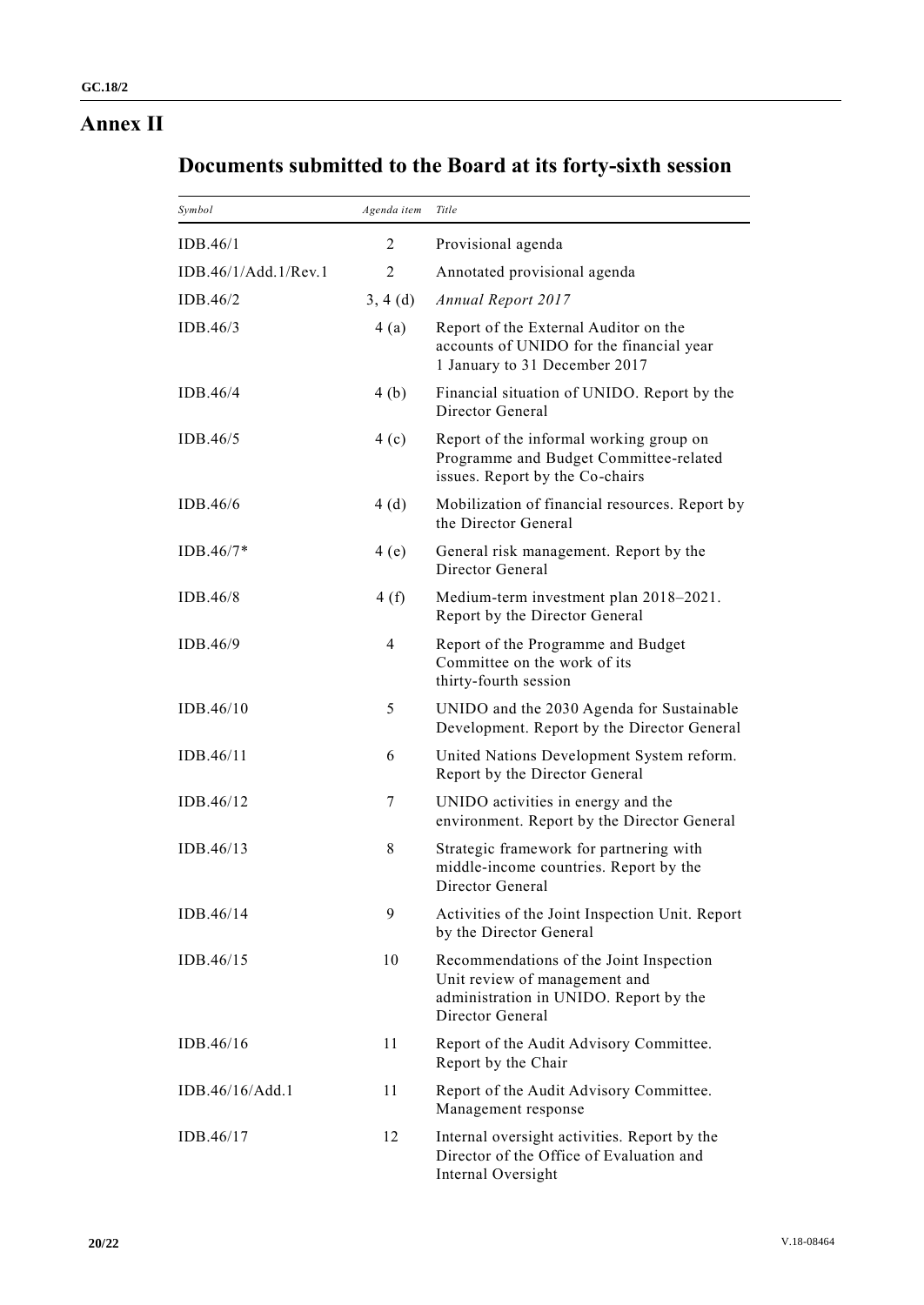# **Annex II**

# **Documents submitted to the Board at its forty-sixth session**

| Symbol               | Agenda item    | Title                                                                                                                                  |
|----------------------|----------------|----------------------------------------------------------------------------------------------------------------------------------------|
| IDB.46/1             | 2              | Provisional agenda                                                                                                                     |
| IDB.46/1/Add.1/Rev.1 | $\overline{2}$ | Annotated provisional agenda                                                                                                           |
| IDB.46/2             | 3, 4(d)        | <b>Annual Report 2017</b>                                                                                                              |
| IDB.46/3             | 4(a)           | Report of the External Auditor on the<br>accounts of UNIDO for the financial year<br>1 January to 31 December 2017                     |
| IDB.46/4             | 4(b)           | Financial situation of UNIDO. Report by the<br>Director General                                                                        |
| IDB.46/5             | 4(c)           | Report of the informal working group on<br>Programme and Budget Committee-related<br>issues. Report by the Co-chairs                   |
| IDB.46/6             | 4(d)           | Mobilization of financial resources. Report by<br>the Director General                                                                 |
| $IDB.46/7*$          | 4(e)           | General risk management. Report by the<br>Director General                                                                             |
| IDB.46/8             | 4(f)           | Medium-term investment plan 2018-2021.<br>Report by the Director General                                                               |
| IDB.46/9             | 4              | Report of the Programme and Budget<br>Committee on the work of its<br>thirty-fourth session                                            |
| IDB.46/10            | 5              | UNIDO and the 2030 Agenda for Sustainable<br>Development. Report by the Director General                                               |
| IDB.46/11            | 6              | United Nations Development System reform.<br>Report by the Director General                                                            |
| IDB.46/12            | 7              | UNIDO activities in energy and the<br>environment. Report by the Director General                                                      |
| IDB.46/13            | 8              | Strategic framework for partnering with<br>middle-income countries. Report by the<br>Director General                                  |
| IDB.46/14            | 9              | Activities of the Joint Inspection Unit. Report<br>by the Director General                                                             |
| IDB.46/15            | 10             | Recommendations of the Joint Inspection<br>Unit review of management and<br>administration in UNIDO. Report by the<br>Director General |
| IDB.46/16            | 11             | Report of the Audit Advisory Committee.<br>Report by the Chair                                                                         |
| IDB.46/16/Add.1      | 11             | Report of the Audit Advisory Committee.<br>Management response                                                                         |
| IDB.46/17            | 12             | Internal oversight activities. Report by the<br>Director of the Office of Evaluation and<br>Internal Oversight                         |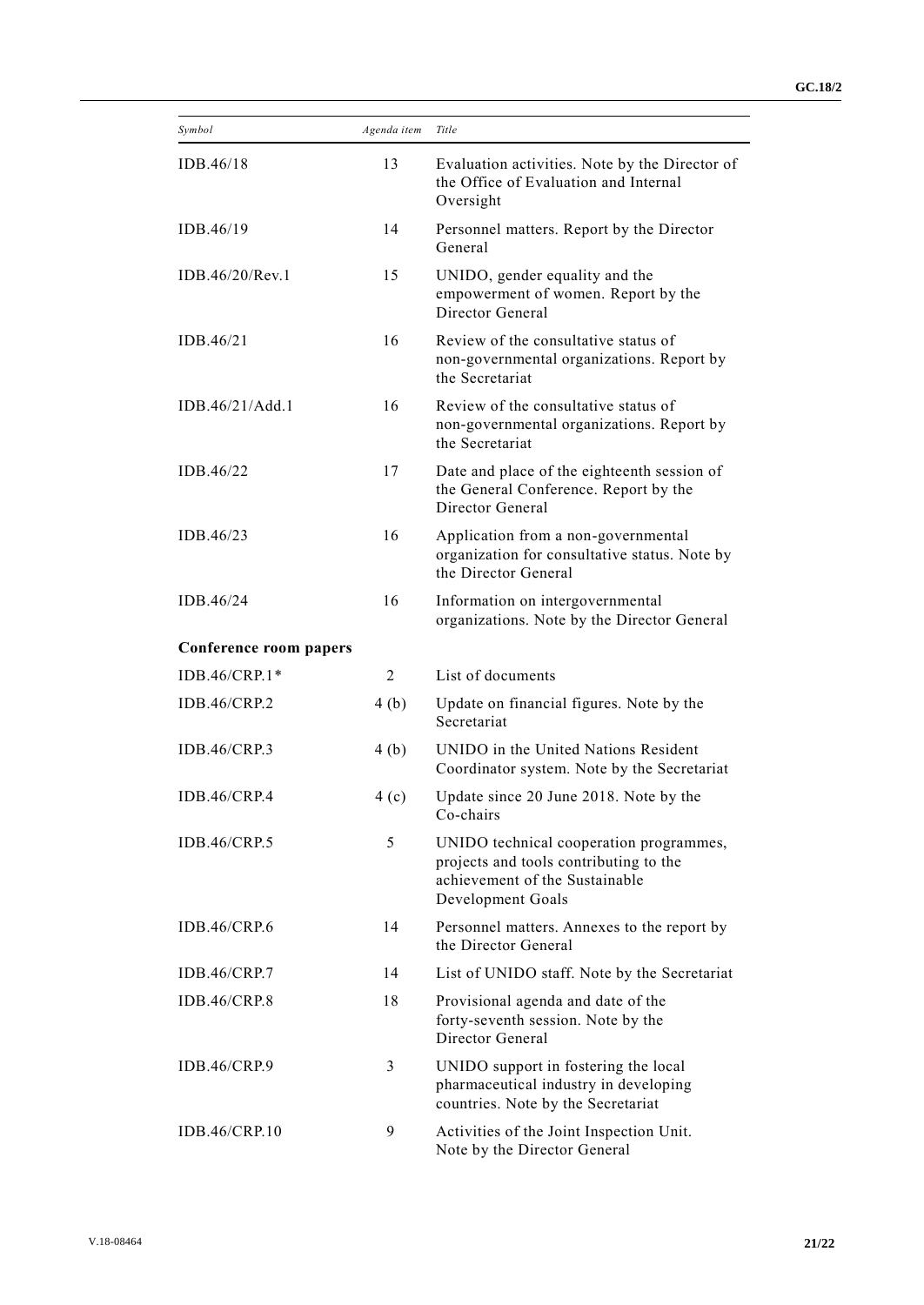| Symbol                 | Agenda item    | Title                                                                                                                                    |
|------------------------|----------------|------------------------------------------------------------------------------------------------------------------------------------------|
| IDB.46/18              | 13             | Evaluation activities. Note by the Director of<br>the Office of Evaluation and Internal<br>Oversight                                     |
| IDB.46/19              | 14             | Personnel matters. Report by the Director<br>General                                                                                     |
| IDB.46/20/Rev.1        | 15             | UNIDO, gender equality and the<br>empowerment of women. Report by the<br>Director General                                                |
| IDB.46/21              | 16             | Review of the consultative status of<br>non-governmental organizations. Report by<br>the Secretariat                                     |
| IDB.46/21/Add.1        | 16             | Review of the consultative status of<br>non-governmental organizations. Report by<br>the Secretariat                                     |
| IDB.46/22              | 17             | Date and place of the eighteenth session of<br>the General Conference. Report by the<br>Director General                                 |
| IDB.46/23              | 16             | Application from a non-governmental<br>organization for consultative status. Note by<br>the Director General                             |
| IDB.46/24              | 16             | Information on intergovernmental<br>organizations. Note by the Director General                                                          |
| Conference room papers |                |                                                                                                                                          |
| IDB.46/CRP.1*          | $\overline{2}$ | List of documents                                                                                                                        |
| IDB.46/CRP.2           | 4(b)           | Update on financial figures. Note by the<br>Secretariat                                                                                  |
| <b>IDB.46/CRP.3</b>    | 4(b)           | UNIDO in the United Nations Resident<br>Coordinator system. Note by the Secretariat                                                      |
| <b>IDB.46/CRP.4</b>    | 4(c)           | Update since 20 June 2018. Note by the<br>Co-chairs                                                                                      |
| <b>IDB.46/CRP.5</b>    | 5              | UNIDO technical cooperation programmes,<br>projects and tools contributing to the<br>achievement of the Sustainable<br>Development Goals |
| IDB.46/CRP.6           | 14             | Personnel matters. Annexes to the report by<br>the Director General                                                                      |
| IDB.46/CRP.7           | 14             | List of UNIDO staff. Note by the Secretariat                                                                                             |
| <b>IDB.46/CRP.8</b>    | 18             | Provisional agenda and date of the<br>forty-seventh session. Note by the<br>Director General                                             |
| <b>IDB.46/CRP.9</b>    | 3              | UNIDO support in fostering the local<br>pharmaceutical industry in developing<br>countries. Note by the Secretariat                      |
| IDB.46/CRP.10          | 9              | Activities of the Joint Inspection Unit.<br>Note by the Director General                                                                 |